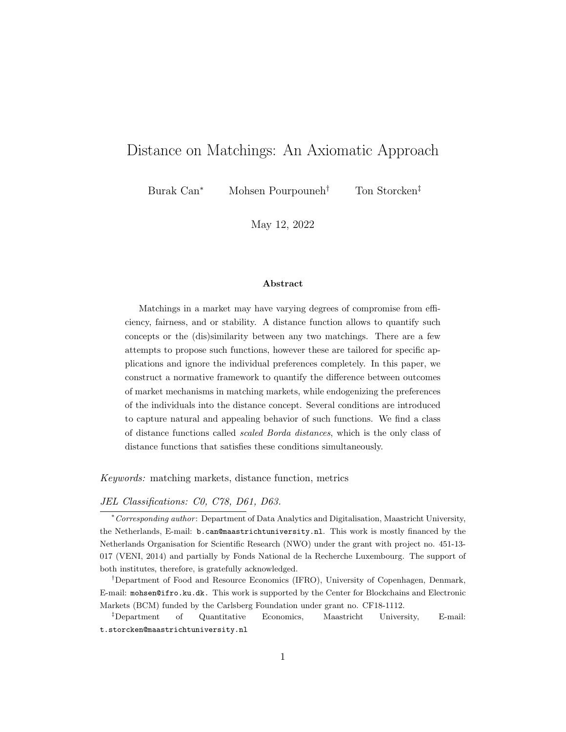# Distance on Matchings: An Axiomatic Approach

Burak Can<sup>∗</sup> Mohsen Pourpouneh† Ton Storcken‡

May 12, 2022

### Abstract

Matchings in a market may have varying degrees of compromise from efficiency, fairness, and or stability. A distance function allows to quantify such concepts or the (dis)similarity between any two matchings. There are a few attempts to propose such functions, however these are tailored for specific applications and ignore the individual preferences completely. In this paper, we construct a normative framework to quantify the difference between outcomes of market mechanisms in matching markets, while endogenizing the preferences of the individuals into the distance concept. Several conditions are introduced to capture natural and appealing behavior of such functions. We find a class of distance functions called scaled Borda distances, which is the only class of distance functions that satisfies these conditions simultaneously.

Keywords: matching markets, distance function, metrics

JEL Classifications: C0, C78, D61, D63.

<sup>∗</sup>Corresponding author : Department of Data Analytics and Digitalisation, Maastricht University, the Netherlands, E-mail: b.can@maastrichtuniversity.nl. This work is mostly financed by the Netherlands Organisation for Scientific Research (NWO) under the grant with project no. 451-13- 017 (VENI, 2014) and partially by Fonds National de la Recherche Luxembourg. The support of both institutes, therefore, is gratefully acknowledged.

†Department of Food and Resource Economics (IFRO), University of Copenhagen, Denmark, E-mail: mohsen@ifro.ku.dk. This work is supported by the Center for Blockchains and Electronic Markets (BCM) funded by the Carlsberg Foundation under grant no. CF18-1112.

‡Department of Quantitative Economics, Maastricht University, E-mail: t.storcken@maastrichtuniversity.nl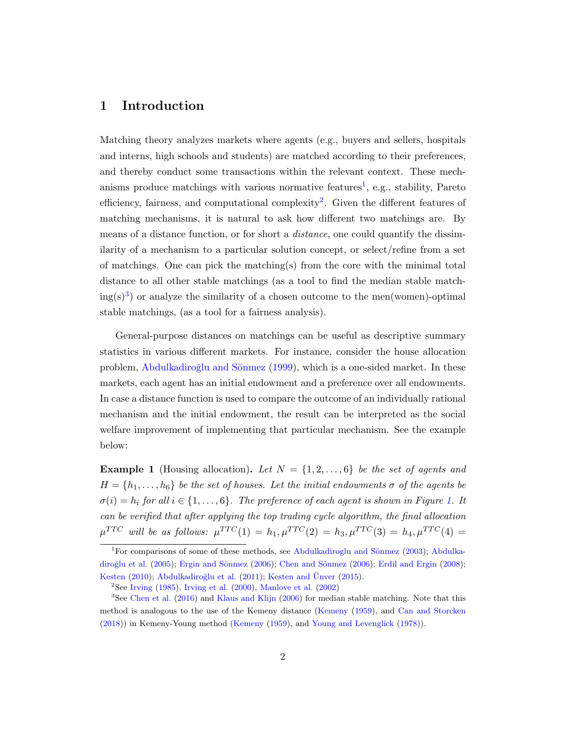# 1 Introduction

Matching theory analyzes markets where agents (e.g., buyers and sellers, hospitals and interns, high schools and students) are matched according to their preferences, and thereby conduct some transactions within the relevant context. These mech-anisms produce matchings with various normative features<sup>[1](#page-1-0)</sup>, e.g., stability, Pareto efficiency, fairness, and computational complexity<sup>[2](#page-1-1)</sup>. Given the different features of matching mechanisms, it is natural to ask how different two matchings are. By means of a distance function, or for short a *distance*, one could quantify the dissimilarity of a mechanism to a particular solution concept, or select/refine from a set of matchings. One can pick the matching(s) from the core with the minimal total distance to all other stable matchings (as a tool to find the median stable match- $ing(s)<sup>3</sup>$  $ing(s)<sup>3</sup>$  $ing(s)<sup>3</sup>$  or analyze the similarity of a chosen outcome to the men(women)-optimal stable matchings, (as a tool for a fairness analysis).

General-purpose distances on matchings can be useful as descriptive summary statistics in various different markets. For instance, consider the house allocation problem, Abdulkadiroğlu and Sönmez [\(1999\)](#page-17-0), which is a one-sided market. In these markets, each agent has an initial endowment and a preference over all endowments. In case a distance function is used to compare the outcome of an individually rational mechanism and the initial endowment, the result can be interpreted as the social welfare improvement of implementing that particular mechanism. See the example below:

**Example 1** (Housing allocation). Let  $N = \{1, 2, ..., 6\}$  be the set of agents and  $H = \{h_1, \ldots, h_6\}$  be the set of houses. Let the initial endowments  $\sigma$  of the agents be  $\sigma(i) = h_i$  for all  $i \in \{1, \ldots, 6\}$ . The preference of each agent is shown in Figure [1.](#page-2-0) It can be verified that after applying the top trading cycle algorithm, the final allocation  $\mu^{TTC}$  will be as follows:  $\mu^{TTC}(1) = h_1, \mu^{TTC}(2) = h_3, \mu^{TTC}(3) = h_4, \mu^{TTC}(4) =$ 

<span id="page-1-0"></span><sup>&</sup>lt;sup>1</sup>For comparisons of some of these methods, see Abdulkadiroglu and Sönmez [\(2003\)](#page-17-1); [Abdulka-](#page-17-2)diroğlu et al. [\(2005\)](#page-17-2); Ergin and Sönmez [\(2006\)](#page-17-4); Chen and Sönmez (2006); [Erdil and Ergin](#page-17-5) [\(2008\)](#page-17-5); [Kesten](#page-18-0) [\(2010\)](#page-18-0); Abdulkadiroğlu et al. [\(2011\)](#page-17-6); [Kesten and](#page-18-1) Ünver [\(2015\)](#page-18-1).

<span id="page-1-2"></span><span id="page-1-1"></span><sup>&</sup>lt;sup>2</sup>See [Irving](#page-17-7) [\(1985\)](#page-17-7), [Irving et al.](#page-17-8) [\(2000\)](#page-17-8), [Manlove et al.](#page-18-2) [\(2002\)](#page-18-2)

 $3$ See [Chen et al.](#page-17-9) [\(2016\)](#page-17-9) and [Klaus and Klijn](#page-18-3) [\(2006\)](#page-18-3) for median stable matching. Note that this method is analogous to the use of the Kemeny distance [\(Kemeny](#page-18-4) [\(1959\)](#page-18-4), and [Can and Storcken](#page-17-10) [\(2018\)](#page-17-10)) in Kemeny-Young method [\(Kemeny](#page-18-4) [\(1959\)](#page-18-4), and [Young and Levenglick](#page-18-5) [\(1978\)](#page-18-5)).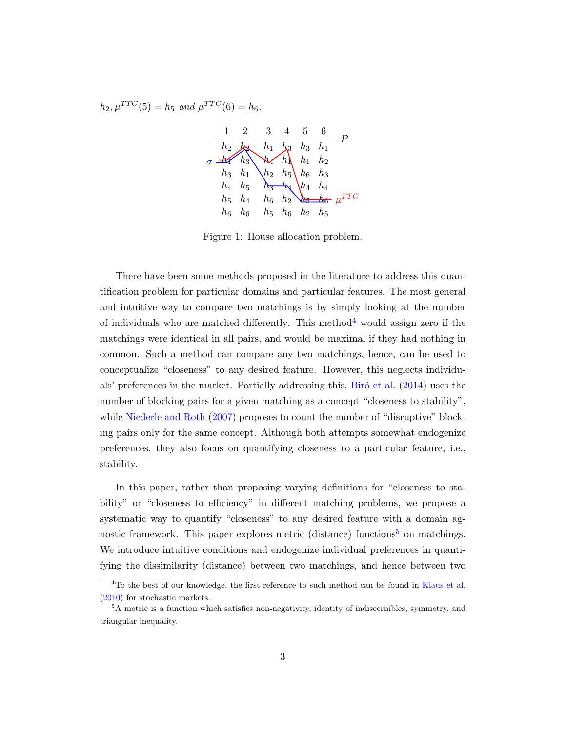<span id="page-2-0"></span>
$$
h_2, \mu^{TTC}(5) = h_5
$$
 and  $\mu^{TTC}(6) = h_6$ .



Figure 1: House allocation problem.

There have been some methods proposed in the literature to address this quantification problem for particular domains and particular features. The most general and intuitive way to compare two matchings is by simply looking at the number of individuals who are matched differently. This method<sup>[4](#page-2-1)</sup> would assign zero if the matchings were identical in all pairs, and would be maximal if they had nothing in common. Such a method can compare any two matchings, hence, can be used to conceptualize "closeness" to any desired feature. However, this neglects individu-als' preferences in the market. Partially addressing this, Biró et al. [\(2014\)](#page-17-11) uses the number of blocking pairs for a given matching as a concept "closeness to stability", while [Niederle and Roth](#page-18-6) [\(2007\)](#page-18-6) proposes to count the number of "disruptive" blocking pairs only for the same concept. Although both attempts somewhat endogenize preferences, they also focus on quantifying closeness to a particular feature, i.e., stability.

In this paper, rather than proposing varying definitions for "closeness to stability" or "closeness to efficiency" in different matching problems, we propose a systematic way to quantify "closeness" to any desired feature with a domain ag-nostic framework. This paper explores metric (distance) functions<sup>[5](#page-2-2)</sup> on matchings. We introduce intuitive conditions and endogenize individual preferences in quantifying the dissimilarity (distance) between two matchings, and hence between two

<span id="page-2-1"></span><sup>&</sup>lt;sup>4</sup>To the best of our knowledge, the first reference to such method can be found in [Klaus et al.](#page-18-7) [\(2010\)](#page-18-7) for stochastic markets.

<span id="page-2-2"></span><sup>&</sup>lt;sup>5</sup>A metric is a function which satisfies non-negativity, identity of indiscernibles, symmetry, and triangular inequality.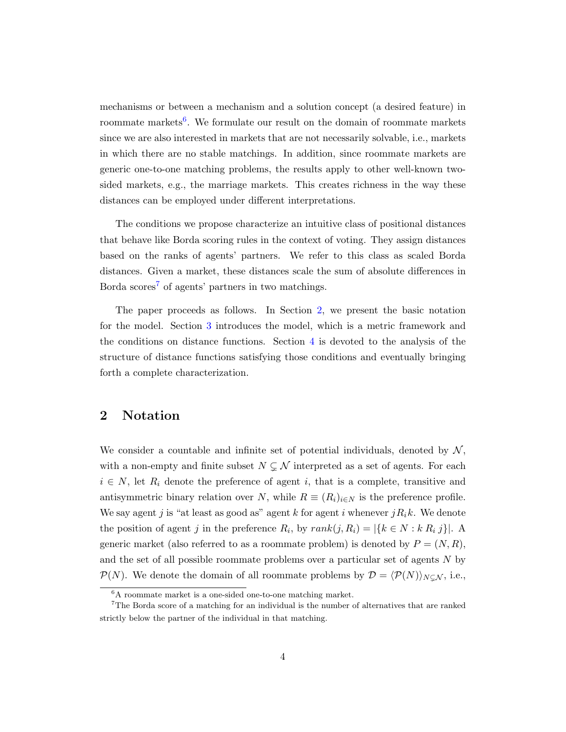mechanisms or between a mechanism and a solution concept (a desired feature) in roommate markets<sup>[6](#page-3-0)</sup>. We formulate our result on the domain of roommate markets since we are also interested in markets that are not necessarily solvable, i.e., markets in which there are no stable matchings. In addition, since roommate markets are generic one-to-one matching problems, the results apply to other well-known twosided markets, e.g., the marriage markets. This creates richness in the way these distances can be employed under different interpretations.

The conditions we propose characterize an intuitive class of positional distances that behave like Borda scoring rules in the context of voting. They assign distances based on the ranks of agents' partners. We refer to this class as scaled Borda distances. Given a market, these distances scale the sum of absolute differences in Borda scores<sup>[7](#page-3-1)</sup> of agents' partners in two matchings.

The paper proceeds as follows. In Section [2,](#page-3-2) we present the basic notation for the model. Section [3](#page-5-0) introduces the model, which is a metric framework and the conditions on distance functions. Section [4](#page-8-0) is devoted to the analysis of the structure of distance functions satisfying those conditions and eventually bringing forth a complete characterization.

# <span id="page-3-2"></span>2 Notation

We consider a countable and infinite set of potential individuals, denoted by  $\mathcal{N},$ with a non-empty and finite subset  $N \subsetneq \mathcal{N}$  interpreted as a set of agents. For each  $i \in N$ , let  $R_i$  denote the preference of agent i, that is a complete, transitive and antisymmetric binary relation over N, while  $R \equiv (R_i)_{i \in N}$  is the preference profile. We say agent j is "at least as good as" agent k for agent i whenever  $jR_ik$ . We denote the position of agent j in the preference  $R_i$ , by  $rank(j, R_i) = |\{k \in N : k R_i | j\}|$ . A generic market (also referred to as a roommate problem) is denoted by  $P = (N, R)$ , and the set of all possible roommate problems over a particular set of agents N by  $\mathcal{P}(N)$ . We denote the domain of all roommate problems by  $\mathcal{D} = \langle \mathcal{P}(N) \rangle_{N \subset \mathcal{N}}$ , i.e.,

<span id="page-3-1"></span><span id="page-3-0"></span><sup>6</sup>A roommate market is a one-sided one-to-one matching market.

<sup>7</sup>The Borda score of a matching for an individual is the number of alternatives that are ranked strictly below the partner of the individual in that matching.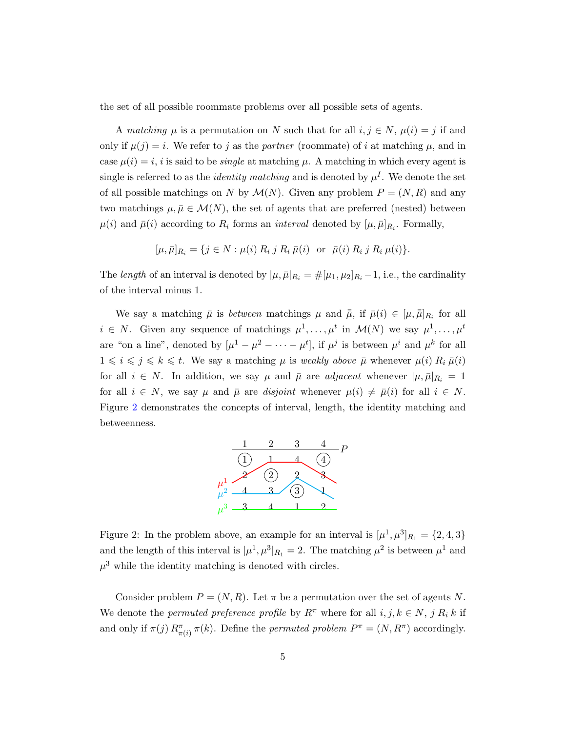the set of all possible roommate problems over all possible sets of agents.

A matching  $\mu$  is a permutation on N such that for all  $i, j \in N$ ,  $\mu(i) = j$  if and only if  $\mu(j) = i$ . We refer to j as the partner (roommate) of i at matching  $\mu$ , and in case  $\mu(i) = i$ , i is said to be *single* at matching  $\mu$ . A matching in which every agent is single is referred to as the *identity matching* and is denoted by  $\mu^{I}$ . We denote the set of all possible matchings on N by  $\mathcal{M}(N)$ . Given any problem  $P = (N, R)$  and any two matchings  $\mu, \bar{\mu} \in \mathcal{M}(N)$ , the set of agents that are preferred (nested) between  $\mu(i)$  and  $\bar{\mu}(i)$  according to  $R_i$  forms an *interval* denoted by  $[\mu, \bar{\mu}]_{R_i}$ . Formally,

$$
[\mu, \bar{\mu}]_{R_i} = \{ j \in N : \mu(i) \, R_i \, j \, R_i \, \bar{\mu}(i) \text{ or } \bar{\mu}(i) \, R_i \, j \, R_i \, \mu(i) \}.
$$

The length of an interval is denoted by  $|\mu, \bar{\mu}|_{R_i} = \#[\mu_1, \mu_2]_{R_i} - 1$ , i.e., the cardinality of the interval minus 1.

We say a matching  $\bar{\mu}$  is between matchings  $\mu$  and  $\bar{\bar{\mu}}$ , if  $\bar{\mu}(i) \in [\mu, \bar{\bar{\mu}}]_{R_i}$  for all  $i \in N$ . Given any sequence of matchings  $\mu^1, \ldots, \mu^t$  in  $\mathcal{M}(N)$  we say  $\mu^1, \ldots, \mu^t$ are "on a line", denoted by  $[\mu^1 - \mu^2 - \cdots - \mu^t]$ , if  $\mu^j$  is between  $\mu^i$  and  $\mu^k$  for all  $1 \leq i \leq j \leq k \leq t$ . We say a matching  $\mu$  is weakly above  $\bar{\mu}$  whenever  $\mu(i) R_i \bar{\mu}(i)$ for all  $i \in N$ . In addition, we say  $\mu$  and  $\bar{\mu}$  are *adjacent* whenever  $|\mu, \bar{\mu}|_{R_i} = 1$ for all  $i \in N$ , we say  $\mu$  and  $\bar{\mu}$  are *disjoint* whenever  $\mu(i) \neq \bar{\mu}(i)$  for all  $i \in N$ . Figure [2](#page-4-0) demonstrates the concepts of interval, length, the identity matching and betweenness.



<span id="page-4-0"></span>Figure 2: In the problem above, an example for an interval is  $[\mu^1, \mu^3]_{R_1} = \{2, 4, 3\}$ and the length of this interval is  $|\mu^1, \mu^3|_{R_1} = 2$ . The matching  $\mu^2$  is between  $\mu^1$  and  $\mu^3$  while the identity matching is denoted with circles.

Consider problem  $P = (N, R)$ . Let  $\pi$  be a permutation over the set of agents N. We denote the *permuted preference profile* by  $R^{\pi}$  where for all  $i, j, k \in N$ ,  $j R_i k$  if and only if  $\pi(j) R_{\pi(i)}^{\pi} \pi(k)$ . Define the *permuted problem*  $P^{\pi} = (N, R^{\pi})$  accordingly.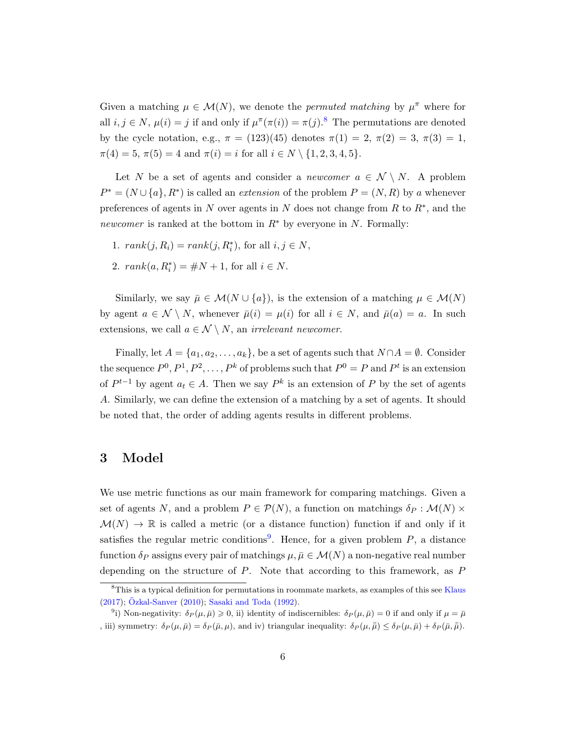Given a matching  $\mu \in \mathcal{M}(N)$ , we denote the *permuted matching* by  $\mu^{\pi}$  where for all  $i, j \in N$ ,  $\mu(i) = j$  if and only if  $\mu^{\pi}(\pi(i)) = \pi(j)$ .<sup>[8](#page-5-1)</sup> The permutations are denoted by the cycle notation, e.g.,  $\pi = (123)(45)$  denotes  $\pi(1) = 2, \pi(2) = 3, \pi(3) = 1,$  $\pi(4) = 5, \pi(5) = 4$  and  $\pi(i) = i$  for all  $i \in N \setminus \{1, 2, 3, 4, 5\}.$ 

Let N be a set of agents and consider a newcomer  $a \in \mathcal{N} \setminus N$ . A problem  $P^* = (N \cup \{a\}, R^*)$  is called an *extension* of the problem  $P = (N, R)$  by a whenever preferences of agents in N over agents in N does not change from R to  $R^*$ , and the newcomer is ranked at the bottom in  $R^*$  by everyone in N. Formally:

- 1.  $rank(j, R_i) = rank(j, R_i^*),$  for all  $i, j \in N$ ,
- 2.  $rank(a, R_i^*) = \#N + 1$ , for all  $i \in N$ .

Similarly, we say  $\bar{\mu} \in \mathcal{M}(N \cup \{a\})$ , is the extension of a matching  $\mu \in \mathcal{M}(N)$ by agent  $a \in \mathcal{N} \setminus N$ , whenever  $\bar{\mu}(i) = \mu(i)$  for all  $i \in N$ , and  $\bar{\mu}(a) = a$ . In such extensions, we call  $a \in \mathcal{N} \setminus N$ , an *irrelevant newcomer*.

Finally, let  $A = \{a_1, a_2, \ldots, a_k\}$ , be a set of agents such that  $N \cap A = \emptyset$ . Consider the sequence  $P^0, P^1, P^2, \ldots, P^k$  of problems such that  $P^0 = P$  and  $P^t$  is an extension of  $P^{t-1}$  by agent  $a_t \in A$ . Then we say  $P^k$  is an extension of P by the set of agents A. Similarly, we can define the extension of a matching by a set of agents. It should be noted that, the order of adding agents results in different problems.

# <span id="page-5-0"></span>3 Model

We use metric functions as our main framework for comparing matchings. Given a set of agents N, and a problem  $P \in \mathcal{P}(N)$ , a function on matchings  $\delta_P : \mathcal{M}(N) \times$  $\mathcal{M}(N) \to \mathbb{R}$  is called a metric (or a distance function) function if and only if it satisfies the regular metric conditions<sup>[9](#page-5-2)</sup>. Hence, for a given problem  $P$ , a distance function  $\delta_P$  assigns every pair of matchings  $\mu, \bar{\mu} \in \mathcal{M}(N)$  a non-negative real number depending on the structure of  $P$ . Note that according to this framework, as  $P$ 

<span id="page-5-1"></span><sup>&</sup>lt;sup>8</sup>This is a typical definition for permutations in roommate markets, as examples of this see [Klaus](#page-18-8)  $(2017)$ ;  $\ddot{O}$ zkal-Sanver  $(2010)$ ; [Sasaki and Toda](#page-18-10)  $(1992)$ .

<span id="page-5-2"></span><sup>&</sup>lt;sup>9</sup>i) Non-negativity:  $\delta_P(\mu,\bar{\mu}) \geq 0$ , ii) identity of indiscernibles:  $\delta_P(\mu,\bar{\mu}) = 0$  if and only if  $\mu = \bar{\mu}$ , iii) symmetry:  $\delta_P(\mu, \bar{\mu}) = \delta_P(\bar{\mu}, \mu)$ , and iv) triangular inequality:  $\delta_P(\mu, \bar{\mu}) \leq \delta_P(\mu, \bar{\mu}) + \delta_P(\bar{\mu}, \bar{\mu})$ .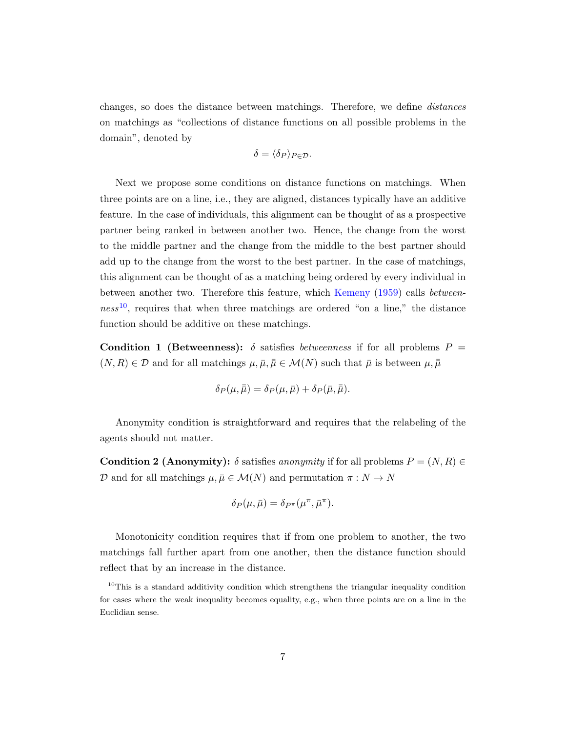changes, so does the distance between matchings. Therefore, we define distances on matchings as "collections of distance functions on all possible problems in the domain", denoted by

$$
\delta = \langle \delta_P \rangle_{P \in \mathcal{D}}.
$$

Next we propose some conditions on distance functions on matchings. When three points are on a line, i.e., they are aligned, distances typically have an additive feature. In the case of individuals, this alignment can be thought of as a prospective partner being ranked in between another two. Hence, the change from the worst to the middle partner and the change from the middle to the best partner should add up to the change from the worst to the best partner. In the case of matchings, this alignment can be thought of as a matching being ordered by every individual in between another two. Therefore this feature, which [Kemeny](#page-18-4) [\(1959\)](#page-18-4) calls between- $ness<sup>10</sup>$  $ness<sup>10</sup>$  $ness<sup>10</sup>$ , requires that when three matchings are ordered "on a line," the distance function should be additive on these matchings.

Condition 1 (Betweenness):  $\delta$  satisfies *betweenness* if for all problems  $P =$  $(N, R) \in \mathcal{D}$  and for all matchings  $\mu, \bar{\mu}, \bar{\mu} \in \mathcal{M}(N)$  such that  $\bar{\mu}$  is between  $\mu, \bar{\mu}$ 

$$
\delta_P(\mu,\bar{\bar{\mu}}) = \delta_P(\mu,\bar{\mu}) + \delta_P(\bar{\mu},\bar{\bar{\mu}}).
$$

Anonymity condition is straightforward and requires that the relabeling of the agents should not matter.

**Condition 2 (Anonymity):**  $\delta$  satisfies anonymity if for all problems  $P = (N, R) \in$ D and for all matchings  $\mu, \bar{\mu} \in \mathcal{M}(N)$  and permutation  $\pi : N \to N$ 

$$
\delta_P(\mu,\bar{\mu}) = \delta_{P^{\pi}}(\mu^{\pi},\bar{\mu}^{\pi}).
$$

Monotonicity condition requires that if from one problem to another, the two matchings fall further apart from one another, then the distance function should reflect that by an increase in the distance.

<span id="page-6-0"></span><sup>&</sup>lt;sup>10</sup>This is a standard additivity condition which strengthens the triangular inequality condition for cases where the weak inequality becomes equality, e.g., when three points are on a line in the Euclidian sense.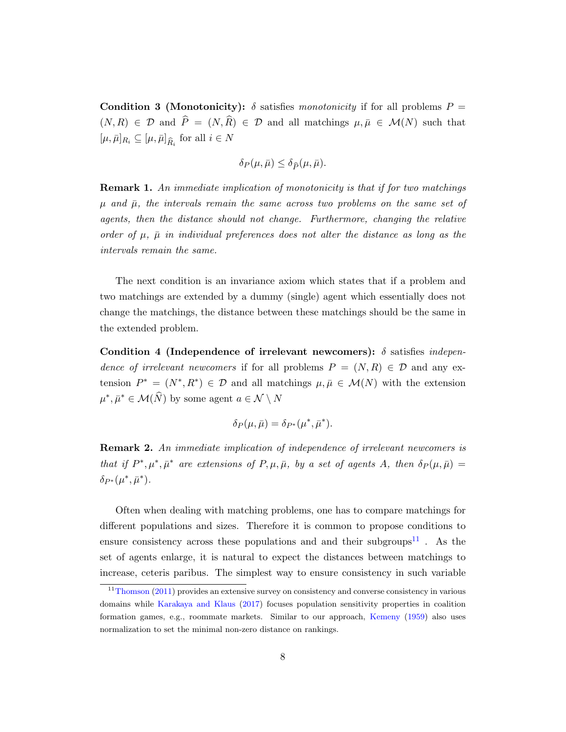Condition 3 (Monotonicity):  $\delta$  satisfies monotonicity if for all problems  $P =$  $(N, R) \in \mathcal{D}$  and  $\hat{P} = (N, \hat{R}) \in \mathcal{D}$  and all matchings  $\mu, \bar{\mu} \in \mathcal{M}(N)$  such that  $[\mu, \bar{\mu}]_{R_i} \subseteq [\mu, \bar{\mu}]_{\widehat{R}_i}$  for all  $i \in N$ 

$$
\delta_P(\mu,\bar\mu) \le \delta_{\widehat{P}}(\mu,\bar\mu).
$$

Remark 1. An immediate implication of monotonicity is that if for two matchings  $\mu$  and  $\bar{\mu}$ , the intervals remain the same across two problems on the same set of agents, then the distance should not change. Furthermore, changing the relative order of  $\mu$ ,  $\bar{\mu}$  in individual preferences does not alter the distance as long as the intervals remain the same.

The next condition is an invariance axiom which states that if a problem and two matchings are extended by a dummy (single) agent which essentially does not change the matchings, the distance between these matchings should be the same in the extended problem.

Condition 4 (Independence of irrelevant newcomers):  $\delta$  satisfies independence of irrelevant newcomers if for all problems  $P = (N, R) \in \mathcal{D}$  and any extension  $P^* = (N^*, R^*) \in \mathcal{D}$  and all matchings  $\mu, \bar{\mu} \in \mathcal{M}(N)$  with the extension  $\mu^*, \bar{\mu}^* \in \mathcal{M}(\widehat{N})$  by some agent  $a \in \mathcal{N} \setminus N$ 

$$
\delta_P(\mu,\bar{\mu}) = \delta_{P^*}(\mu^*,\bar{\mu}^*).
$$

<span id="page-7-1"></span>Remark 2. An immediate implication of independence of irrelevant newcomers is that if  $P^*, \mu^*, \bar{\mu}^*$  are extensions of  $P, \mu, \bar{\mu}$ , by a set of agents A, then  $\delta_P(\mu, \bar{\mu}) =$  $\delta_{P^*}(\mu^*,\bar{\mu}^*)$ .

Often when dealing with matching problems, one has to compare matchings for different populations and sizes. Therefore it is common to propose conditions to ensure consistency across these populations and and their subgroups<sup>[11](#page-7-0)</sup>. As the set of agents enlarge, it is natural to expect the distances between matchings to increase, ceteris paribus. The simplest way to ensure consistency in such variable

<span id="page-7-0"></span> $11$ [Thomson](#page-18-11) [\(2011\)](#page-18-11) provides an extensive survey on consistency and converse consistency in various domains while [Karakaya and Klaus](#page-18-12) [\(2017\)](#page-18-12) focuses population sensitivity properties in coalition formation games, e.g., roommate markets. Similar to our approach, [Kemeny](#page-18-4) [\(1959\)](#page-18-4) also uses normalization to set the minimal non-zero distance on rankings.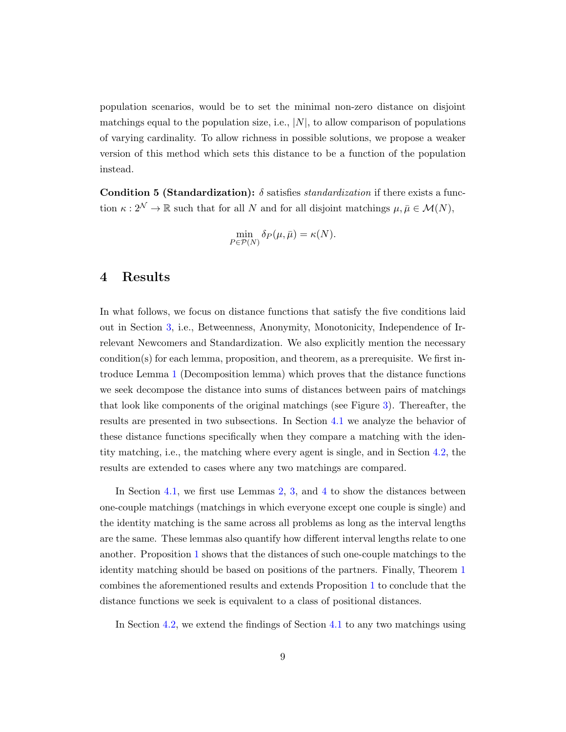population scenarios, would be to set the minimal non-zero distance on disjoint matchings equal to the population size, i.e.,  $|N|$ , to allow comparison of populations of varying cardinality. To allow richness in possible solutions, we propose a weaker version of this method which sets this distance to be a function of the population instead.

Condition 5 (Standardization):  $\delta$  satisfies *standardization* if there exists a function  $\kappa : 2^{\mathcal{N}} \to \mathbb{R}$  such that for all N and for all disjoint matchings  $\mu, \bar{\mu} \in \mathcal{M}(N)$ ,

$$
\min_{P \in \mathcal{P}(N)} \delta_P(\mu, \bar{\mu}) = \kappa(N).
$$

# <span id="page-8-0"></span>4 Results

In what follows, we focus on distance functions that satisfy the five conditions laid out in Section [3,](#page-5-0) i.e., Betweenness, Anonymity, Monotonicity, Independence of Irrelevant Newcomers and Standardization. We also explicitly mention the necessary condition(s) for each lemma, proposition, and theorem, as a prerequisite. We first introduce Lemma [1](#page-9-0) (Decomposition lemma) which proves that the distance functions we seek decompose the distance into sums of distances between pairs of matchings that look like components of the original matchings (see Figure [3\)](#page-9-1). Thereafter, the results are presented in two subsections. In Section [4.1](#page-10-0) we analyze the behavior of these distance functions specifically when they compare a matching with the identity matching, i.e., the matching where every agent is single, and in Section [4.2,](#page-14-0) the results are extended to cases where any two matchings are compared.

In Section [4.1,](#page-10-0) we first use Lemmas [2,](#page-11-0) [3,](#page-11-1) and [4](#page-12-0) to show the distances between one-couple matchings (matchings in which everyone except one couple is single) and the identity matching is the same across all problems as long as the interval lengths are the same. These lemmas also quantify how different interval lengths relate to one another. Proposition [1](#page-12-1) shows that the distances of such one-couple matchings to the identity matching should be based on positions of the partners. Finally, Theorem [1](#page-14-1) combines the aforementioned results and extends Proposition [1](#page-12-1) to conclude that the distance functions we seek is equivalent to a class of positional distances.

In Section [4.2,](#page-14-0) we extend the findings of Section [4.1](#page-10-0) to any two matchings using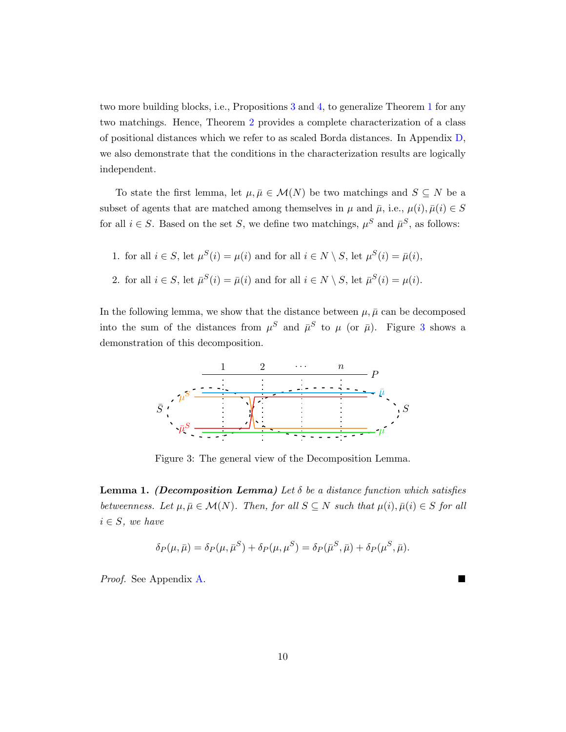two more building blocks, i.e., Propositions [3](#page-14-2) and [4,](#page-15-0) to generalize Theorem [1](#page-14-1) for any two matchings. Hence, Theorem [2](#page-16-0) provides a complete characterization of a class of positional distances which we refer to as scaled Borda distances. In Appendix [D,](#page-43-0) we also demonstrate that the conditions in the characterization results are logically independent.

To state the first lemma, let  $\mu, \bar{\mu} \in \mathcal{M}(N)$  be two matchings and  $S \subseteq N$  be a subset of agents that are matched among themselves in  $\mu$  and  $\bar{\mu}$ , i.e.,  $\mu(i), \bar{\mu}(i) \in S$ for all  $i \in S$ . Based on the set S, we define two matchings,  $\mu^S$  and  $\bar{\mu}^S$ , as follows:

1. for all  $i \in S$ , let  $\mu^{S}(i) = \mu(i)$  and for all  $i \in N \setminus S$ , let  $\mu^{S}(i) = \bar{\mu}(i)$ , 2. for all  $i \in S$ , let  $\bar{\mu}^S(i) = \bar{\mu}(i)$  and for all  $i \in N \setminus S$ , let  $\bar{\mu}^S(i) = \mu(i)$ .

In the following lemma, we show that the distance between  $\mu$ ,  $\bar{\mu}$  can be decomposed into the sum of the distances from  $\mu^S$  and  $\bar{\mu}^S$  to  $\mu$  (or  $\bar{\mu}$ ). Figure [3](#page-9-1) shows a demonstration of this decomposition.

<span id="page-9-1"></span>

Figure 3: The general view of the Decomposition Lemma.

<span id="page-9-0"></span>**Lemma 1.** (Decomposition Lemma) Let  $\delta$  be a distance function which satisfies betweenness. Let  $\mu, \bar{\mu} \in \mathcal{M}(N)$ . Then, for all  $S \subseteq N$  such that  $\mu(i), \bar{\mu}(i) \in S$  for all  $i \in S$ , we have

$$
\delta_P(\mu, \bar{\mu}) = \delta_P(\mu, \bar{\mu}^S) + \delta_P(\mu, \mu^S) = \delta_P(\bar{\mu}^S, \bar{\mu}) + \delta_P(\mu^S, \bar{\mu}).
$$

Proof. See Appendix [A.](#page-19-0)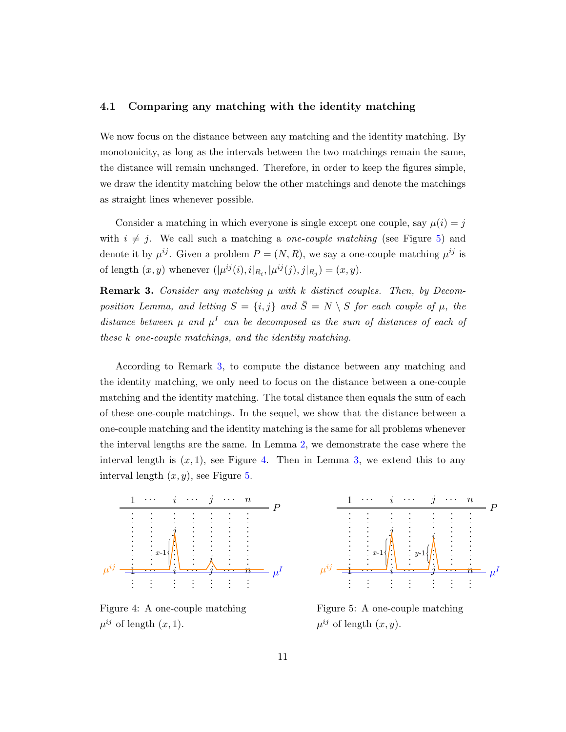### <span id="page-10-0"></span>4.1 Comparing any matching with the identity matching

We now focus on the distance between any matching and the identity matching. By monotonicity, as long as the intervals between the two matchings remain the same, the distance will remain unchanged. Therefore, in order to keep the figures simple, we draw the identity matching below the other matchings and denote the matchings as straight lines whenever possible.

Consider a matching in which everyone is single except one couple, say  $\mu(i) = j$ with  $i \neq j$ . We call such a matching a *one-couple matching* (see Figure [5\)](#page-10-1) and denote it by  $\mu^{ij}$ . Given a problem  $P = (N, R)$ , we say a one-couple matching  $\mu^{ij}$  is of length  $(x, y)$  whenever  $(|\mu^{ij}(i), i|_{R_i}, |\mu^{ij}(j), j|_{R_j}) = (x, y)$ .

<span id="page-10-2"></span>**Remark 3.** Consider any matching  $\mu$  with k distinct couples. Then, by Decomposition Lemma, and letting  $S = \{i, j\}$  and  $\overline{S} = N \setminus S$  for each couple of  $\mu$ , the distance between  $\mu$  and  $\mu^I$  can be decomposed as the sum of distances of each of these k one-couple matchings, and the identity matching.

According to Remark [3,](#page-10-2) to compute the distance between any matching and the identity matching, we only need to focus on the distance between a one-couple matching and the identity matching. The total distance then equals the sum of each of these one-couple matchings. In the sequel, we show that the distance between a one-couple matching and the identity matching is the same for all problems whenever the interval lengths are the same. In Lemma [2,](#page-11-0) we demonstrate the case where the interval length is  $(x, 1)$ , see Figure [4.](#page-10-1) Then in Lemma [3,](#page-11-1) we extend this to any interval length  $(x, y)$ , see Figure [5.](#page-10-1)

<span id="page-10-1"></span>

Figure 4: A one-couple matching  $\mu^{ij}$  of length  $(x, 1)$ .



Figure 5: A one-couple matching  $\mu^{ij}$  of length  $(x, y)$ .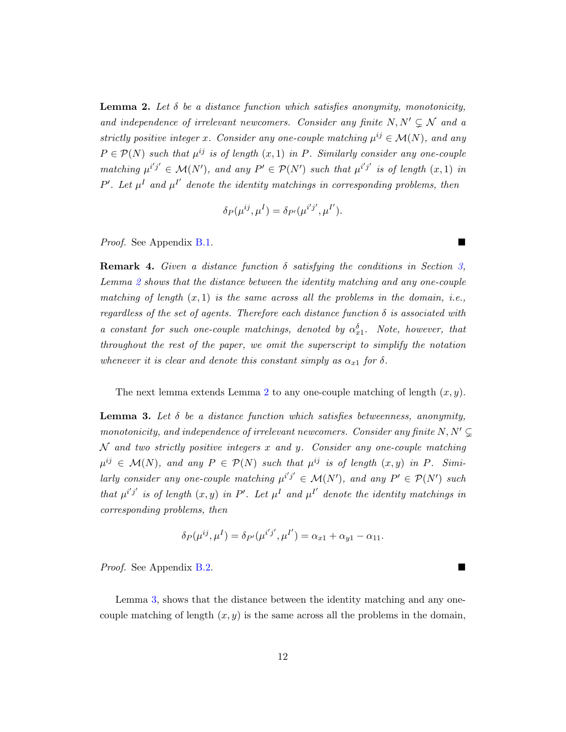<span id="page-11-0"></span>**Lemma 2.** Let  $\delta$  be a distance function which satisfies anonymity, monotonicity, and independence of irrelevant newcomers. Consider any finite  $N, N' \subseteq \mathcal{N}$  and a strictly positive integer x. Consider any one-couple matching  $\mu^{ij} \in \mathcal{M}(N)$ , and any  $P \in \mathcal{P}(N)$  such that  $\mu^{ij}$  is of length  $(x,1)$  in P. Similarly consider any one-couple matching  $\mu^{i'j'} \in \mathcal{M}(N')$ , and any  $P' \in \mathcal{P}(N')$  such that  $\mu^{i'j'}$  is of length  $(x, 1)$  in P'. Let  $\mu^I$  and  $\mu^{I'}$  denote the identity matchings in corresponding problems, then

$$
\delta_P(\mu^{ij}, \mu^I) = \delta_{P'}(\mu^{i'j'}, \mu^{I'}).
$$

Proof. See Appendix [B.1.](#page-20-0)

<span id="page-11-2"></span>**Remark 4.** Given a distance function  $\delta$  satisfying the conditions in Section [3,](#page-5-0) Lemma [2](#page-11-0) shows that the distance between the identity matching and any one-couple matching of length  $(x, 1)$  is the same across all the problems in the domain, i.e., regardless of the set of agents. Therefore each distance function  $\delta$  is associated with a constant for such one-couple matchings, denoted by  $\alpha_{x1}^{\delta}$ . Note, however, that throughout the rest of the paper, we omit the superscript to simplify the notation whenever it is clear and denote this constant simply as  $\alpha_{x_1}$  for  $\delta$ .

The next lemma extends Lemma [2](#page-11-0) to any one-couple matching of length  $(x, y)$ .

<span id="page-11-1"></span>**Lemma 3.** Let  $\delta$  be a distance function which satisfies betweenness, anonymity, monotonicity, and independence of irrelevant newcomers. Consider any finite  $N, N' \subsetneq$  $N$  and two strictly positive integers x and y. Consider any one-couple matching  $\mu^{ij} \in \mathcal{M}(N)$ , and any  $P \in \mathcal{P}(N)$  such that  $\mu^{ij}$  is of length  $(x, y)$  in P. Similarly consider any one-couple matching  $\mu^{i'j'} \in \mathcal{M}(N')$ , and any  $P' \in \mathcal{P}(N')$  such that  $\mu^{i'j'}$  is of length  $(x, y)$  in  $P'$ . Let  $\mu^I$  and  $\mu^{I'}$  denote the identity matchings in corresponding problems, then

$$
\delta_P(\mu^{ij}, \mu^I) = \delta_{P'}(\mu^{i'j'}, \mu^{I'}) = \alpha_{x1} + \alpha_{y1} - \alpha_{11}.
$$

Proof. See Appendix [B.2.](#page-21-0)

Lemma [3,](#page-11-1) shows that the distance between the identity matching and any onecouple matching of length  $(x, y)$  is the same across all the problems in the domain,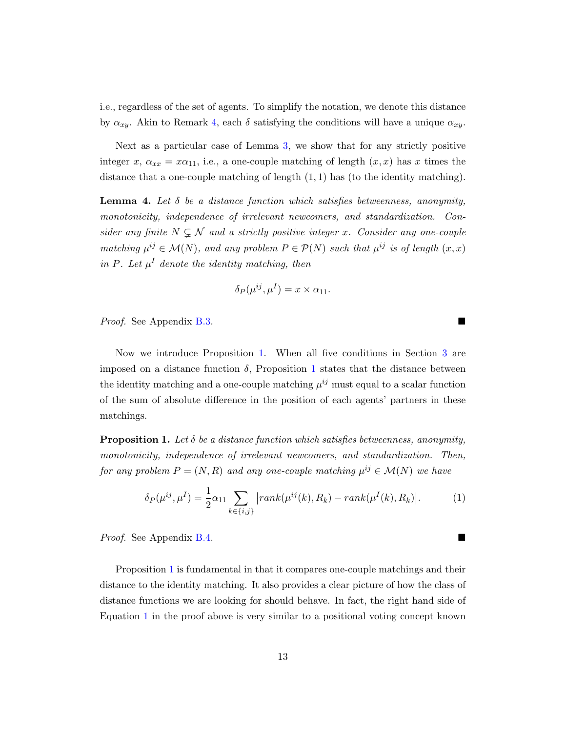i.e., regardless of the set of agents. To simplify the notation, we denote this distance by  $\alpha_{xy}$ . Akin to Remark [4,](#page-11-2) each  $\delta$  satisfying the conditions will have a unique  $\alpha_{xy}$ .

Next as a particular case of Lemma [3,](#page-11-1) we show that for any strictly positive integer x,  $\alpha_{xx} = x\alpha_{11}$ , i.e., a one-couple matching of length  $(x, x)$  has x times the distance that a one-couple matching of length  $(1, 1)$  has (to the identity matching).

<span id="page-12-0"></span>**Lemma 4.** Let  $\delta$  be a distance function which satisfies betweenness, anonymity, monotonicity, independence of irrelevant newcomers, and standardization. Consider any finite  $N \subsetneq \mathcal{N}$  and a strictly positive integer x. Consider any one-couple matching  $\mu^{ij} \in \mathcal{M}(N)$ , and any problem  $P \in \mathcal{P}(N)$  such that  $\mu^{ij}$  is of length  $(x, x)$ in P. Let  $\mu^I$  denote the identity matching, then

$$
\delta_P(\mu^{ij}, \mu^I) = x \times \alpha_{11}.
$$

Proof. See Appendix [B.3.](#page-25-0)

Now we introduce Proposition [1.](#page-14-1) When all five conditions in Section [3](#page-5-0) are imposed on a distance function  $\delta$ , Proposition [1](#page-14-1) states that the distance between the identity matching and a one-couple matching  $\mu^{ij}$  must equal to a scalar function of the sum of absolute difference in the position of each agents' partners in these matchings.

<span id="page-12-1"></span>**Proposition 1.** Let  $\delta$  be a distance function which satisfies betweenness, anonymity, monotonicity, independence of irrelevant newcomers, and standardization. Then, for any problem  $P = (N, R)$  and any one-couple matching  $\mu^{ij} \in \mathcal{M}(N)$  we have

<span id="page-12-2"></span>
$$
\delta_P(\mu^{ij}, \mu^I) = \frac{1}{2} \alpha_{11} \sum_{k \in \{i, j\}} |rank(\mu^{ij}(k), R_k) - rank(\mu^I(k), R_k)|.
$$
 (1)

Proof. See Appendix [B.4.](#page-27-0)

Proposition [1](#page-12-1) is fundamental in that it compares one-couple matchings and their distance to the identity matching. It also provides a clear picture of how the class of distance functions we are looking for should behave. In fact, the right hand side of Equation [1](#page-12-2) in the proof above is very similar to a positional voting concept known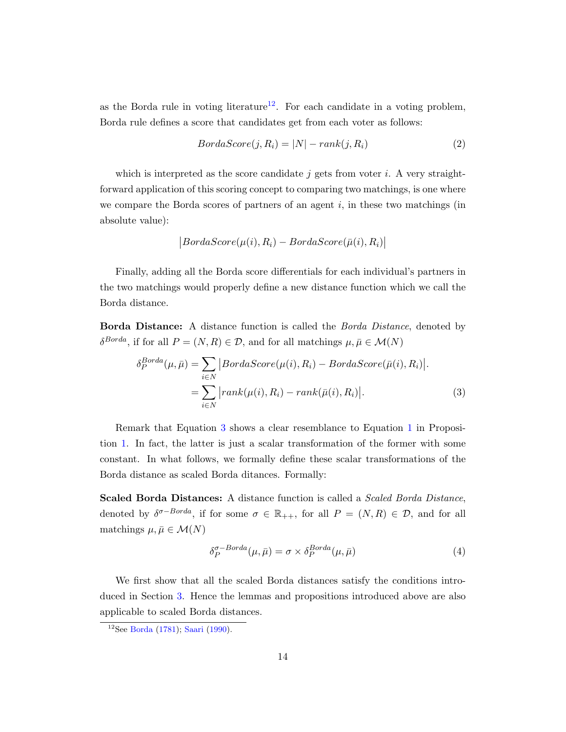as the Borda rule in voting literature<sup>[12](#page-13-0)</sup>. For each candidate in a voting problem, Borda rule defines a score that candidates get from each voter as follows:

$$
BordaScore(j, R_i) = |N| - rank(j, R_i)
$$
\n(2)

which is interpreted as the score candidate j gets from voter i. A very straightforward application of this scoring concept to comparing two matchings, is one where we compare the Borda scores of partners of an agent  $i$ , in these two matchings (in absolute value):

$$
|BordaScore(\mu(i), R_i) - BordaScore(\bar{\mu}(i), R_i)|
$$

Finally, adding all the Borda score differentials for each individual's partners in the two matchings would properly define a new distance function which we call the Borda distance.

**Borda Distance:** A distance function is called the *Borda Distance*, denoted by  $\delta^{Borda}$ , if for all  $P = (N, R) \in \mathcal{D}$ , and for all matchings  $\mu, \bar{\mu} \in \mathcal{M}(N)$ 

$$
\delta_P^{Borda}(\mu, \bar{\mu}) = \sum_{i \in N} |BordaScore(\mu(i), R_i) - BordaScore(\bar{\mu}(i), R_i)|.
$$
  
= 
$$
\sum_{i \in N} |rank(\mu(i), R_i) - rank(\bar{\mu}(i), R_i)|.
$$
 (3)

Remark that Equation [3](#page-13-1) shows a clear resemblance to Equation [1](#page-12-2) in Proposition [1.](#page-12-1) In fact, the latter is just a scalar transformation of the former with some constant. In what follows, we formally define these scalar transformations of the Borda distance as scaled Borda ditances. Formally:

Scaled Borda Distances: A distance function is called a Scaled Borda Distance, denoted by  $\delta^{\sigma-Borda}$ , if for some  $\sigma \in \mathbb{R}_{++}$ , for all  $P = (N, R) \in \mathcal{D}$ , and for all matchings  $\mu, \bar{\mu} \in \mathcal{M}(N)$ 

<span id="page-13-1"></span>
$$
\delta_P^{\sigma-Borda}(\mu,\bar{\mu}) = \sigma \times \delta_P^{Borda}(\mu,\bar{\mu})
$$
\n(4)

We first show that all the scaled Borda distances satisfy the conditions introduced in Section [3.](#page-5-0) Hence the lemmas and propositions introduced above are also applicable to scaled Borda distances.

<span id="page-13-0"></span><sup>12</sup>See [Borda](#page-17-12) [\(1781\)](#page-17-12); [Saari](#page-18-13) [\(1990\)](#page-18-13).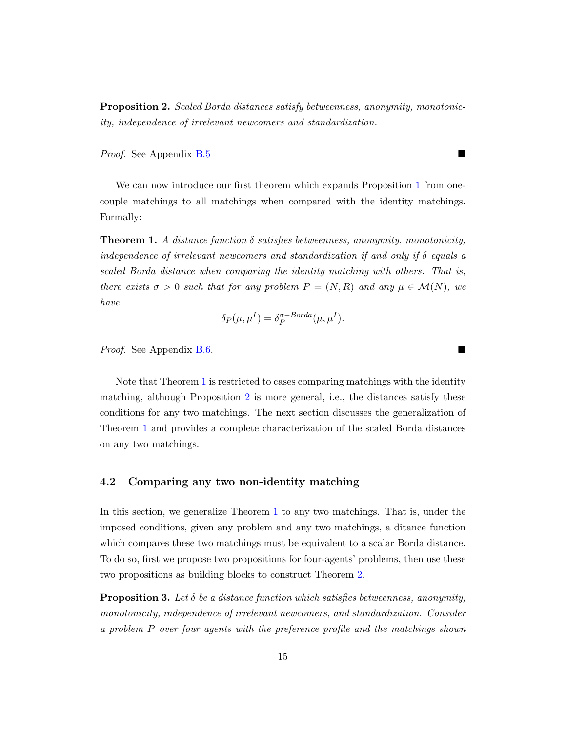<span id="page-14-3"></span>Proposition 2. Scaled Borda distances satisfy betweenness, anonymity, monotonicity, independence of irrelevant newcomers and standardization.

Proof. See Appendix [B.5](#page-27-1)

We can now introduce our first theorem which expands Proposition [1](#page-12-1) from onecouple matchings to all matchings when compared with the identity matchings. Formally:

<span id="page-14-1"></span>**Theorem 1.** A distance function  $\delta$  satisfies betweenness, anonymity, monotonicity, independence of irrelevant newcomers and standardization if and only if  $\delta$  equals a scaled Borda distance when comparing the identity matching with others. That is, there exists  $\sigma > 0$  such that for any problem  $P = (N, R)$  and any  $\mu \in \mathcal{M}(N)$ , we have

$$
\delta_P(\mu, \mu^I) = \delta_P^{\sigma-Borda}(\mu, \mu^I).
$$

Proof. See Appendix [B.6.](#page-29-0)

Note that Theorem [1](#page-14-1) is restricted to cases comparing matchings with the identity matching, although Proposition [2](#page-14-3) is more general, i.e., the distances satisfy these conditions for any two matchings. The next section discusses the generalization of Theorem [1](#page-14-1) and provides a complete characterization of the scaled Borda distances on any two matchings.

#### <span id="page-14-0"></span>4.2 Comparing any two non-identity matching

In this section, we generalize Theorem [1](#page-14-1) to any two matchings. That is, under the imposed conditions, given any problem and any two matchings, a ditance function which compares these two matchings must be equivalent to a scalar Borda distance. To do so, first we propose two propositions for four-agents' problems, then use these two propositions as building blocks to construct Theorem [2.](#page-16-0)

<span id="page-14-2"></span>**Proposition 3.** Let  $\delta$  be a distance function which satisfies betweenness, anonymity, monotonicity, independence of irrelevant newcomers, and standardization. Consider a problem P over four agents with the preference profile and the matchings shown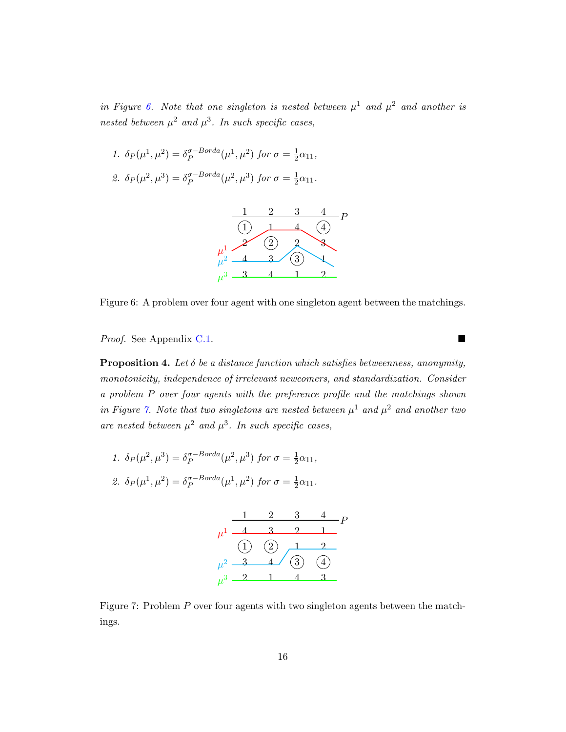in Figure [6.](#page-15-1) Note that one singleton is nested between  $\mu^1$  and  $\mu^2$  and another is nested between  $\mu^2$  and  $\mu^3$ . In such specific cases,

<span id="page-15-1"></span>1. 
$$
\delta_P(\mu^1, \mu^2) = \delta_P^{\sigma-Borda}(\mu^1, \mu^2)
$$
 for  $\sigma = \frac{1}{2}\alpha_{11}$ ,  
2.  $\delta_P(\mu^2, \mu^3) = \delta_P^{\sigma-Borda}(\mu^2, \mu^3)$  for  $\sigma = \frac{1}{2}\alpha_{11}$ .



Figure 6: A problem over four agent with one singleton agent between the matchings.

Proof. See Appendix [C.1.](#page-30-0) ■

<span id="page-15-0"></span>**Proposition 4.** Let  $\delta$  be a distance function which satisfies betweenness, anonymity, monotonicity, independence of irrelevant newcomers, and standardization. Consider a problem P over four agents with the preference profile and the matchings shown in Figure [7.](#page-15-2) Note that two singletons are nested between  $\mu^1$  and  $\mu^2$  and another two are nested between  $\mu^2$  and  $\mu^3$ . In such specific cases,

<span id="page-15-2"></span>1. 
$$
\delta_P(\mu^2, \mu^3) = \delta_P^{\sigma-Borda}(\mu^2, \mu^3)
$$
 for  $\sigma = \frac{1}{2}\alpha_{11}$ ,  
2.  $\delta_P(\mu^1, \mu^2) = \delta_P^{\sigma-Borda}(\mu^1, \mu^2)$  for  $\sigma = \frac{1}{2}\alpha_{11}$ .

$$
\begin{array}{r}\n1 & 2 & 3 & 4 \\
\mu^1 \overline{)4} & 3 & 2 & 1 \\
\hline\n\text{(1)} & \text{(2)} & 1 & 2 \\
\mu^2 \overline{)3} & 4 & \text{(3)} & 4 \\
\mu^3 \overline{)2} & 1 & 4 & 3\n\end{array}
$$

Figure 7: Problem P over four agents with two singleton agents between the matchings.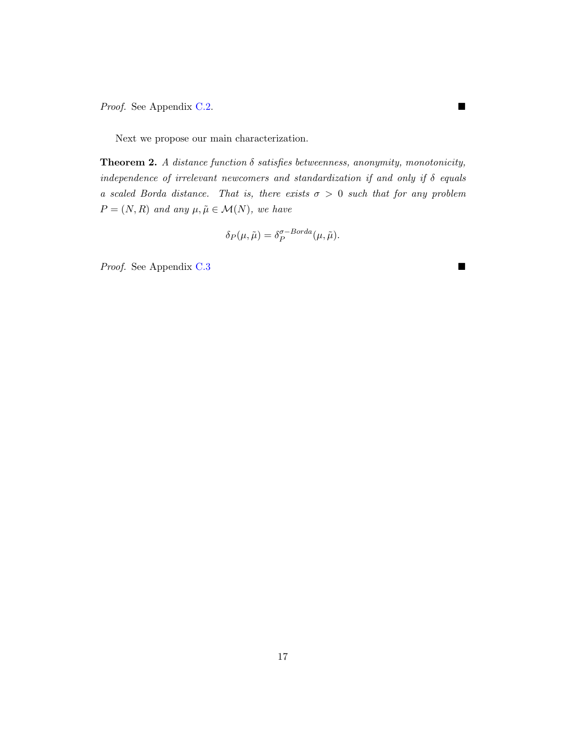Proof. See Appendix [C.2.](#page-35-0) ■

Next we propose our main characterization.

<span id="page-16-0"></span>**Theorem 2.** A distance function  $\delta$  satisfies betweenness, anonymity, monotonicity, independence of irrelevant newcomers and standardization if and only if  $\delta$  equals a scaled Borda distance. That is, there exists  $\sigma > 0$  such that for any problem  $P = (N, R)$  and any  $\mu, \tilde{\mu} \in \mathcal{M}(N)$ , we have

$$
\delta_P(\mu, \tilde{\mu}) = \delta_P^{\sigma-Borda}(\mu, \tilde{\mu}).
$$

Proof. See Appendix [C.3](#page-37-0) ■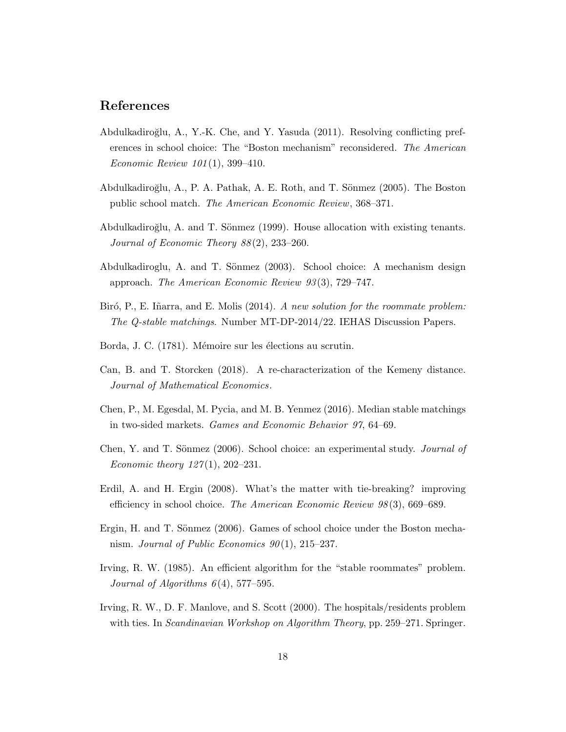# References

- <span id="page-17-6"></span>Abdulkadiroğlu, A., Y.-K. Che, and Y. Yasuda (2011). Resolving conflicting preferences in school choice: The "Boston mechanism" reconsidered. The American Economic Review 101 (1), 399–410.
- <span id="page-17-2"></span>Abdulkadiroğlu, A., P. A. Pathak, A. E. Roth, and T. Sönmez (2005). The Boston public school match. The American Economic Review, 368–371.
- <span id="page-17-0"></span>Abdulkadiroğlu, A. and T. Sönmez (1999). House allocation with existing tenants. Journal of Economic Theory 88 (2), 233–260.
- <span id="page-17-1"></span>Abdulkadiroglu, A. and T. Sönmez (2003). School choice: A mechanism design approach. The American Economic Review 93 (3), 729–747.
- <span id="page-17-11"></span>Biró, P., E. Iñarra, and E. Molis (2014). A new solution for the roommate problem: The Q-stable matchings. Number MT-DP-2014/22. IEHAS Discussion Papers.
- <span id="page-17-12"></span>Borda, J. C. (1781). Mémoire sur les élections au scrutin.
- <span id="page-17-10"></span>Can, B. and T. Storcken (2018). A re-characterization of the Kemeny distance. Journal of Mathematical Economics.
- <span id="page-17-9"></span>Chen, P., M. Egesdal, M. Pycia, and M. B. Yenmez (2016). Median stable matchings in two-sided markets. Games and Economic Behavior 97, 64–69.
- <span id="page-17-4"></span>Chen, Y. and T. Sönmez (2006). School choice: an experimental study. *Journal of Economic theory 127(1), 202–231.*
- <span id="page-17-5"></span>Erdil, A. and H. Ergin (2008). What's the matter with tie-breaking? improving efficiency in school choice. The American Economic Review 98 (3), 669–689.
- <span id="page-17-3"></span>Ergin, H. and T. Sönmez (2006). Games of school choice under the Boston mechanism. Journal of Public Economics  $90(1)$ ,  $215-237$ .
- <span id="page-17-7"></span>Irving, R. W. (1985). An efficient algorithm for the "stable roommates" problem. Journal of Algorithms  $6(4)$ , 577–595.
- <span id="page-17-8"></span>Irving, R. W., D. F. Manlove, and S. Scott (2000). The hospitals/residents problem with ties. In *Scandinavian Workshop on Algorithm Theory*, pp. 259–271. Springer.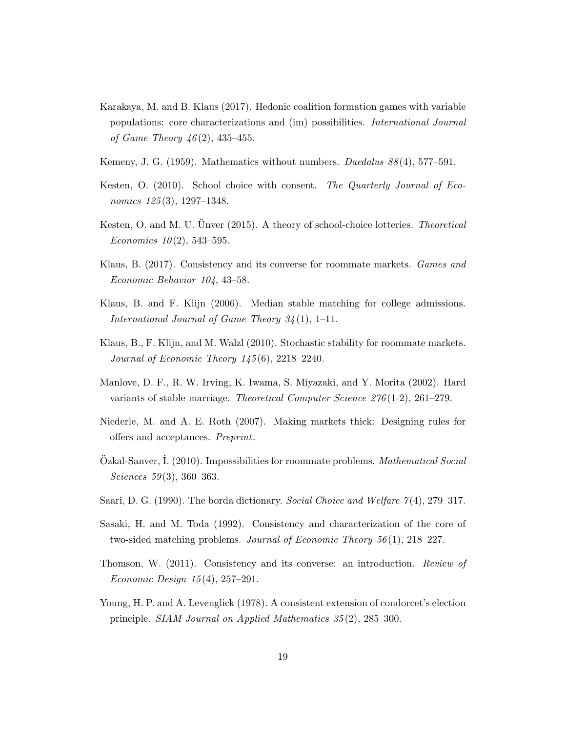- <span id="page-18-12"></span>Karakaya, M. and B. Klaus (2017). Hedonic coalition formation games with variable populations: core characterizations and (im) possibilities. International Journal of Game Theory  $46(2)$ , 435–455.
- <span id="page-18-4"></span>Kemeny, J. G. (1959). Mathematics without numbers. *Daedalus 88*(4), 577–591.
- <span id="page-18-0"></span>Kesten, O. (2010). School choice with consent. The Quarterly Journal of Economics 125(3), 1297–1348.
- <span id="page-18-1"></span>Kesten, O. and M. U. Unver (2015). A theory of school-choice lotteries. *Theoretical* Economics  $10(2)$ , 543-595.
- <span id="page-18-8"></span>Klaus, B. (2017). Consistency and its converse for roommate markets. Games and Economic Behavior 104, 43–58.
- <span id="page-18-3"></span>Klaus, B. and F. Klijn (2006). Median stable matching for college admissions. International Journal of Game Theory  $34(1)$ , 1–11.
- <span id="page-18-7"></span>Klaus, B., F. Klijn, and M. Walzl (2010). Stochastic stability for roommate markets. Journal of Economic Theory 145 (6), 2218–2240.
- <span id="page-18-2"></span>Manlove, D. F., R. W. Irving, K. Iwama, S. Miyazaki, and Y. Morita (2002). Hard variants of stable marriage. Theoretical Computer Science 276 (1-2), 261–279.
- <span id="page-18-6"></span>Niederle, M. and A. E. Roth (2007). Making markets thick: Designing rules for offers and acceptances. Preprint.
- <span id="page-18-9"></span>Ozkal-Sanver, I. (2010). Impossibilities for roommate problems. *Mathematical Social* Sciences 59(3), 360–363.
- <span id="page-18-13"></span>Saari, D. G. (1990). The borda dictionary. Social Choice and Welfare 7(4), 279–317.
- <span id="page-18-10"></span>Sasaki, H. and M. Toda (1992). Consistency and characterization of the core of two-sided matching problems. Journal of Economic Theory  $56(1)$ , 218–227.
- <span id="page-18-11"></span>Thomson, W. (2011). Consistency and its converse: an introduction. Review of *Economic Design 15*(4), 257–291.
- <span id="page-18-5"></span>Young, H. P. and A. Levenglick (1978). A consistent extension of condorcet's election principle. SIAM Journal on Applied Mathematics 35 (2), 285–300.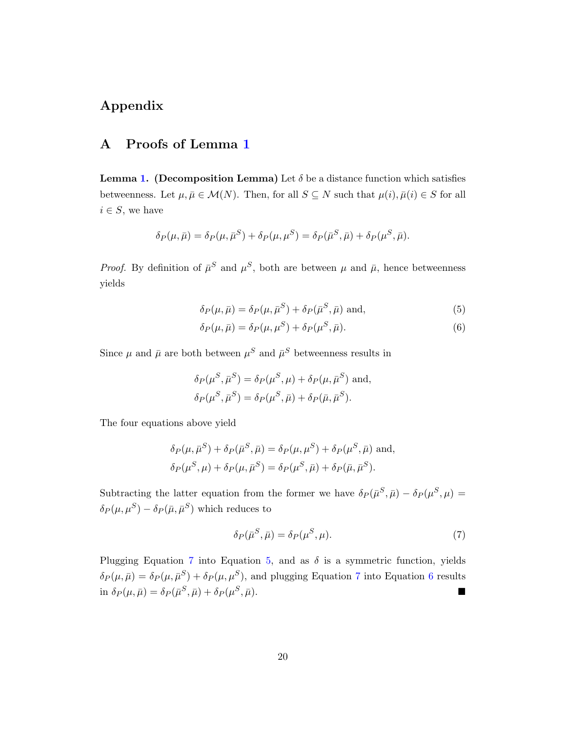# Appendix

# <span id="page-19-0"></span>A Proofs of Lemma [1](#page-9-0)

**Lemma [1.](#page-9-0)** (Decomposition Lemma) Let  $\delta$  be a distance function which satisfies betweenness. Let  $\mu, \bar{\mu} \in \mathcal{M}(N)$ . Then, for all  $S \subseteq N$  such that  $\mu(i), \bar{\mu}(i) \in S$  for all  $i \in S$ , we have

$$
\delta_P(\mu,\bar{\mu}) = \delta_P(\mu,\bar{\mu}^S) + \delta_P(\mu,\mu^S) = \delta_P(\bar{\mu}^S,\bar{\mu}) + \delta_P(\mu^S,\bar{\mu}).
$$

*Proof.* By definition of  $\bar{\mu}^S$  and  $\mu^S$ , both are between  $\mu$  and  $\bar{\mu}$ , hence betweenness yields

<span id="page-19-2"></span>
$$
\delta_P(\mu, \bar{\mu}) = \delta_P(\mu, \bar{\mu}^S) + \delta_P(\bar{\mu}^S, \bar{\mu}) \text{ and}, \qquad (5)
$$

<span id="page-19-3"></span>
$$
\delta_P(\mu, \bar{\mu}) = \delta_P(\mu, \mu^S) + \delta_P(\mu^S, \bar{\mu}). \tag{6}
$$

Since  $\mu$  and  $\bar{\mu}$  are both between  $\mu^S$  and  $\bar{\mu}^S$  betweenness results in

$$
\delta_P(\mu^S, \bar{\mu}^S) = \delta_P(\mu^S, \mu) + \delta_P(\mu, \bar{\mu}^S) \text{ and,}
$$
  

$$
\delta_P(\mu^S, \bar{\mu}^S) = \delta_P(\mu^S, \bar{\mu}) + \delta_P(\bar{\mu}, \bar{\mu}^S).
$$

The four equations above yield

$$
\delta_P(\mu, \bar{\mu}^S) + \delta_P(\bar{\mu}^S, \bar{\mu}) = \delta_P(\mu, \mu^S) + \delta_P(\mu^S, \bar{\mu})
$$
 and,  

$$
\delta_P(\mu^S, \mu) + \delta_P(\mu, \bar{\mu}^S) = \delta_P(\mu^S, \bar{\mu}) + \delta_P(\bar{\mu}, \bar{\mu}^S).
$$

Subtracting the latter equation from the former we have  $\delta_P(\bar{\mu}^S, \bar{\mu}) - \delta_P(\mu^S, \mu) =$  $\delta_P(\mu, \mu^S) - \delta_P(\bar{\mu}, \bar{\mu}^S)$  which reduces to

<span id="page-19-1"></span>
$$
\delta_P(\bar{\mu}^S, \bar{\mu}) = \delta_P(\mu^S, \mu). \tag{7}
$$

Plugging Equation [7](#page-19-1) into Equation [5,](#page-19-2) and as  $\delta$  is a symmetric function, yields  $\delta_P(\mu,\bar{\mu}) = \delta_P(\mu,\bar{\mu}^S) + \delta_P(\mu,\mu^S)$ , and plugging Equation [7](#page-19-1) into Equation [6](#page-19-3) results  $\sin\,\delta_P(\mu,\bar\mu) = \delta_P(\bar\mu^S,\bar\mu) + \delta_P(\mu^S)$  $,\bar{\mu}).$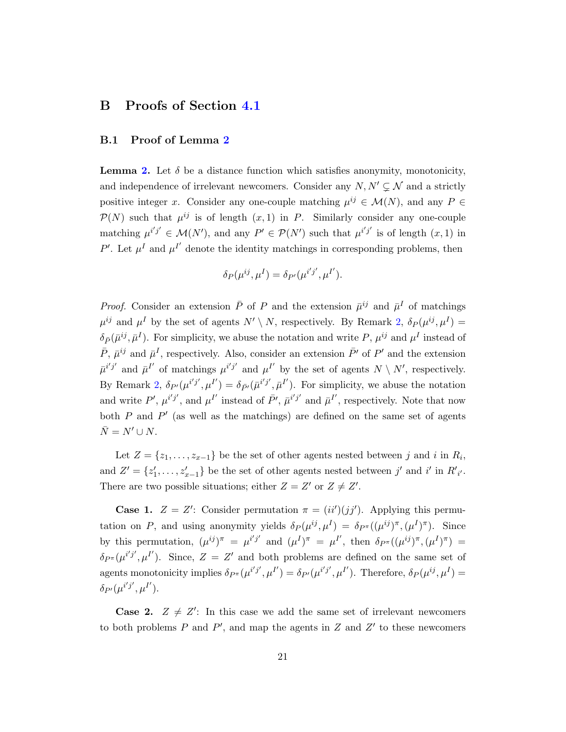# B Proofs of Section [4.1](#page-10-0)

### <span id="page-20-0"></span>B.1 Proof of Lemma [2](#page-11-0)

**Lemma [2.](#page-11-0)** Let  $\delta$  be a distance function which satisfies anonymity, monotonicity, and independence of irrelevant newcomers. Consider any  $N, N' \subsetneq \mathcal{N}$  and a strictly positive integer x. Consider any one-couple matching  $\mu^{ij} \in \mathcal{M}(N)$ , and any  $P \in$  $\mathcal{P}(N)$  such that  $\mu^{ij}$  is of length  $(x, 1)$  in P. Similarly consider any one-couple matching  $\mu^{i'j'} \in \mathcal{M}(N')$ , and any  $P' \in \mathcal{P}(N')$  such that  $\mu^{i'j'}$  is of length  $(x, 1)$  in P'. Let  $\mu^I$  and  $\mu^{I'}$  denote the identity matchings in corresponding problems, then

$$
\delta_P(\mu^{ij}, \mu^I) = \delta_{P'}(\mu^{i'j'}, \mu^{I'}).
$$

*Proof.* Consider an extension  $\bar{P}$  of P and the extension  $\bar{\mu}^{ij}$  and  $\bar{\mu}^I$  of matchings  $\mu^{ij}$  and  $\mu^I$  by the set of agents  $N' \setminus N$ , respectively. By Remark [2,](#page-7-1)  $\delta_P(\mu^{ij}, \mu^I)$  =  $\delta_{\bar{P}}(\bar{\mu}^{ij}, \bar{\mu}^{I})$ . For simplicity, we abuse the notation and write P,  $\mu^{ij}$  and  $\mu^{I}$  instead of  $\bar{P}$ ,  $\bar{\mu}^{ij}$  and  $\bar{\mu}^I$ , respectively. Also, consider an extension  $\bar{P}'$  of  $P'$  and the extension  $\bar{\mu}^{i'j'}$  and  $\bar{\mu}^{I'}$  of matchings  $\mu^{i'j'}$  and  $\mu^{I'}$  by the set of agents  $N \setminus N'$ , respectively. By Remark [2,](#page-7-1)  $\delta_{P}(\mu^{i'j'}, \mu^{I'}) = \delta_{\bar{P}'}(\bar{\mu}^{i'j'}, \bar{\mu}^{I'})$ . For simplicity, we abuse the notation and write P',  $\mu^{i'j'}$ , and  $\mu^{I'}$  instead of  $\bar{P}'$ ,  $\bar{\mu}^{i'j'}$  and  $\bar{\mu}^{I'}$ , respectively. Note that now both  $P$  and  $P'$  (as well as the matchings) are defined on the same set of agents  $\bar{N} = N' \cup N$ .

Let  $Z = \{z_1, \ldots, z_{x-1}\}\$  be the set of other agents nested between j and i in  $R_i$ , and  $Z' = \{z'_1, \ldots, z'_{x-1}\}\$ be the set of other agents nested between j' and i' in  $R'_{i'}$ . There are two possible situations; either  $Z = Z'$  or  $Z \neq Z'$ .

**Case 1.**  $Z = Z'$ : Consider permutation  $\pi = (ii')(jj')$ . Applying this permutation on P, and using anonymity yields  $\delta_P(\mu^{ij}, \mu^I) = \delta_{P^{\pi}}((\mu^{ij})^{\pi}, (\mu^I)^{\pi})$ . Since by this permutation,  $(\mu^{ij})^{\pi} = \mu^{i'j'}$  and  $(\mu^I)^{\pi} = \mu^{I'}$ , then  $\delta_{P^{\pi}}((\mu^{ij})^{\pi}, (\mu^I)^{\pi}) =$  $\delta_{P^{\pi}}(\mu^{i'j'}, \mu^{I'})$ . Since,  $Z = Z'$  and both problems are defined on the same set of agents monotonicity implies  $\delta_{P^{\pi}}(\mu^{i'j'}, \mu^{I'}) = \delta_{P'}(\mu^{i'j'}, \mu^{I'})$ . Therefore,  $\delta_P(\mu^{ij}, \mu^{I'}) =$  $\delta_{P'}(\mu^{i'j'},\mu^{I'}).$ 

**Case 2.**  $Z \neq Z'$ : In this case we add the same set of irrelevant newcomers to both problems  $P$  and  $P'$ , and map the agents in  $Z$  and  $Z'$  to these newcomers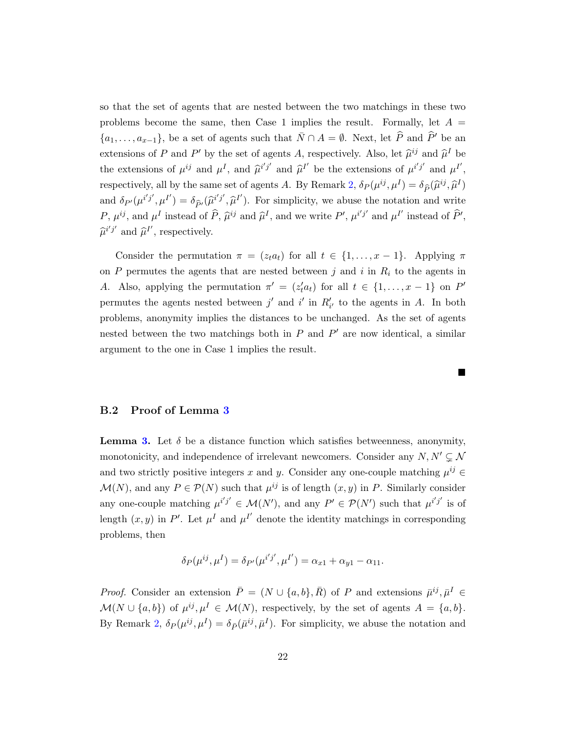so that the set of agents that are nested between the two matchings in these two problems become the same, then Case 1 implies the result. Formally, let  $A =$  $\{a_1,\ldots,a_{x-1}\}\text{, be a set of agents such that }\bar{N}\cap A=\emptyset.$  Next, let  $\widehat{P}$  and  $\widehat{P}'$  be an extensions of P and P' by the set of agents A, respectively. Also, let  $\hat{\mu}^{ij}$  and  $\hat{\mu}^I$  be the extensions of  $\mu^{ij}$  and  $\mu^I$ , and  $\hat{\mu}^{i'j'}$  and  $\hat{\mu}^{I'}$  be the extensions of  $\mu^{i'j'}$  and  $\mu^{I'}$ , respectively, all by the same set of agents A. By Remark [2,](#page-7-1)  $\delta_P(\mu^{ij}, \mu^I) = \delta_{\widehat{P}}(\widehat{\mu}^{ij}, \widehat{\mu}^I)$ and  $\delta_{P'}(\mu^{i'j'}, \mu^{I'}) = \delta_{\widehat{P}'}(\widehat{\mu}^{i'j'}, \widehat{\mu}^{I'})$ . For simplicity, we abuse the notation and write P,  $\mu^{ij}$ , and  $\mu^I$  instead of  $\widehat{P}$ ,  $\widehat{\mu}^{ij}$  and  $\widehat{\mu}^I$ , and we write P',  $\mu^{i'j'}$  and  $\mu^{I'}$  instead of  $\widehat{P}'$ ,  $\widehat{\mu}^{i'j'}$  and  $\widehat{\mu}^{I'}$ , respectively.

Consider the permutation  $\pi = (z_t a_t)$  for all  $t \in \{1, ..., x-1\}$ . Applying  $\pi$ on  $P$  permutes the agents that are nested between  $j$  and  $i$  in  $R_i$  to the agents in A. Also, applying the permutation  $\pi' = (z_t^i a_t)$  for all  $t \in \{1, \ldots, x-1\}$  on P' permutes the agents nested between  $j'$  and  $i'$  in  $R'_{i'}$  to the agents in A. In both problems, anonymity implies the distances to be unchanged. As the set of agents nested between the two matchings both in  $P$  and  $P'$  are now identical, a similar argument to the one in Case 1 implies the result.

 $\blacksquare$ 

## <span id="page-21-0"></span>B.2 Proof of Lemma [3](#page-11-1)

**Lemma [3.](#page-11-1)** Let  $\delta$  be a distance function which satisfies betweenness, anonymity, monotonicity, and independence of irrelevant newcomers. Consider any  $N, N' \subsetneq \mathcal{N}$ and two strictly positive integers x and y. Consider any one-couple matching  $\mu^{ij} \in$  $\mathcal{M}(N)$ , and any  $P \in \mathcal{P}(N)$  such that  $\mu^{ij}$  is of length  $(x, y)$  in P. Similarly consider any one-couple matching  $\mu^{i'j'} \in \mathcal{M}(N')$ , and any  $P' \in \mathcal{P}(N')$  such that  $\mu^{i'j'}$  is of length  $(x, y)$  in P'. Let  $\mu^I$  and  $\mu^{I'}$  denote the identity matchings in corresponding problems, then

$$
\delta_P(\mu^{ij}, \mu^I) = \delta_{P'}(\mu^{i'j'}, \mu^{I'}) = \alpha_{x1} + \alpha_{y1} - \alpha_{11}.
$$

*Proof.* Consider an extension  $\overline{P} = (N \cup \{a, b\}, \overline{R})$  of P and extensions  $\overline{\mu}^{ij}, \overline{\mu}^I \in$  $\mathcal{M}(N \cup \{a, b\})$  of  $\mu^{ij}, \mu^I \in \mathcal{M}(N)$ , respectively, by the set of agents  $A = \{a, b\}.$ By Remark [2,](#page-7-1)  $\delta_P(\mu^{ij}, \mu^I) = \delta_{\bar{P}}(\bar{\mu}^{ij}, \bar{\mu}^I)$ . For simplicity, we abuse the notation and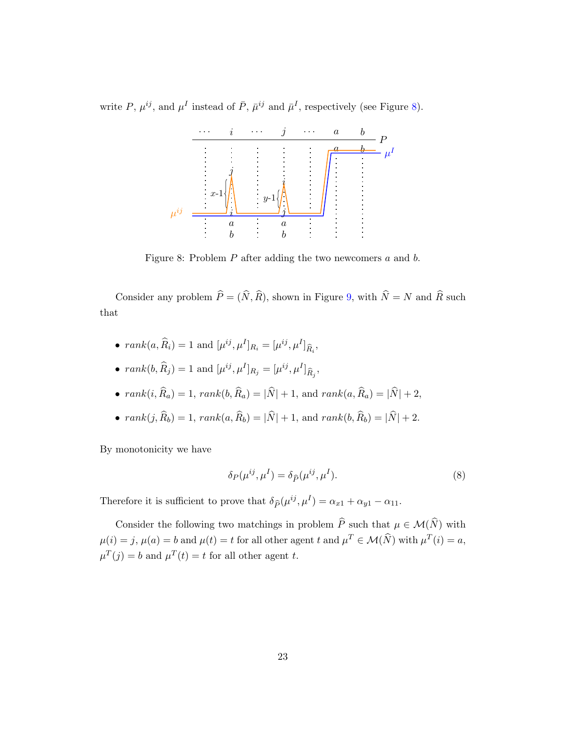<span id="page-22-0"></span>write P,  $\mu^{ij}$ , and  $\mu^I$  instead of  $\bar{P}$ ,  $\bar{\mu}^{ij}$  and  $\bar{\mu}^I$ , respectively (see Figure [8\)](#page-22-0).



Figure 8: Problem P after adding the two newcomers a and b.

Consider any problem  $\widehat{P} = (\widehat{N}, \widehat{R})$ , shown in Figure [9,](#page-23-0) with  $\widehat{N} = N$  and  $\widehat{R}$  such that

- $rank(a, \widehat{R}_i) = 1$  and  $[\mu^{ij}, \mu^I]_{R_i} = [\mu^{ij}, \mu^I]_{\widehat{R}_i}$ ,
- $rank(b, \widehat{R}_j) = 1$  and  $[\mu^{ij}, \mu^I]_{R_j} = [\mu^{ij}, \mu^I]_{\widehat{R}_j}$ ,
- $rank(i, \widehat{R}_a) = 1, rank(b, \widehat{R}_a) = |\widehat{N}| + 1, and rank(a, \widehat{R}_a) = |\widehat{N}| + 2,$
- $rank(j, \widehat{R}_b) = 1, rank(a, \widehat{R}_b) = |\widehat{N}| + 1, and rank(b, \widehat{R}_b) = |\widehat{N}| + 2.$

By monotonicity we have

<span id="page-22-1"></span>
$$
\delta_P(\mu^{ij}, \mu^I) = \delta_{\widehat{P}}(\mu^{ij}, \mu^I). \tag{8}
$$

Therefore it is sufficient to prove that  $\delta_{\hat{P}}(\mu^{ij}, \mu^{I}) = \alpha_{x1} + \alpha_{y1} - \alpha_{11}$ .

Consider the following two matchings in problem  $\widehat{P}$  such that  $\mu \in \mathcal{M}(\widehat{N})$  with  $\mu(i) = j$ ,  $\mu(a) = b$  and  $\mu(t) = t$  for all other agent t and  $\mu^T \in \mathcal{M}(\widehat{N})$  with  $\mu^T(i) = a$ ,  $\mu^T(j) = b$  and  $\mu^T(t) = t$  for all other agent t.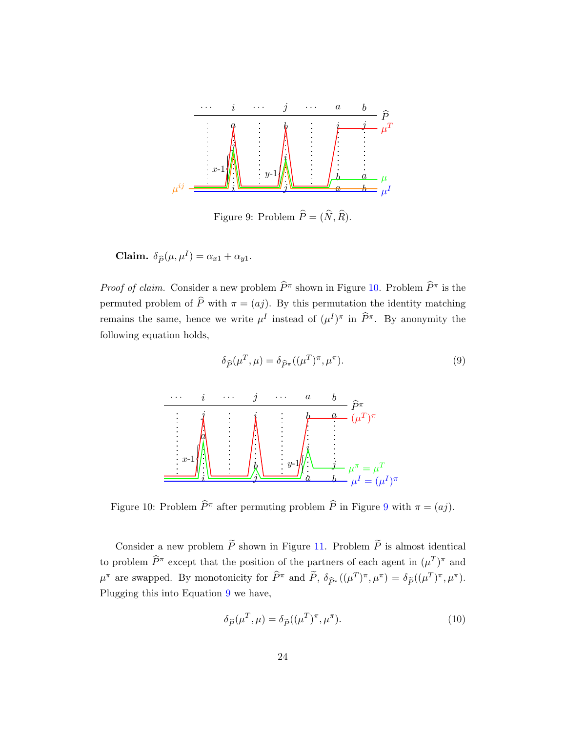<span id="page-23-0"></span>

Figure 9: Problem  $\widehat{P} = (\widehat{N}, \widehat{R})$ .

**Claim.** 
$$
\delta_{\widehat{P}}(\mu, \mu^I) = \alpha_{x1} + \alpha_{y1}
$$
.

*Proof of claim.* Consider a new problem  $\widehat{P}^{\pi}$  shown in Figure [10.](#page-23-1) Problem  $\widehat{P}^{\pi}$  is the permuted problem of  $\hat{P}$  with  $\pi = (aj)$ . By this permutation the identity matching remains the same, hence we write  $\mu^I$  instead of  $(\mu^I)^{\pi}$  in  $\widehat{P}^{\pi}$ . By anonymity the following equation holds,

<span id="page-23-1"></span>

<span id="page-23-2"></span> $\delta_{\widehat{P}}(\mu^T, \mu) = \delta_{\widehat{P}^{\pi}}((\mu^T)^{\pi}, \mu^{\pi})$ ). (9)

Figure 10: Problem  $\widehat{P}^{\pi}$  after permuting problem  $\widehat{P}$  in Figure [9](#page-23-0) with  $\pi = (aj)$ .

Consider a new problem  $\widetilde{P}$  shown in Figure [11.](#page-24-0) Problem  $\widetilde{P}$  is almost identical to problem  $\widehat{P}^{\pi}$  except that the position of the partners of each agent in  $(\mu^T)^{\pi}$  and  $\mu^{\pi}$  are swapped. By monotonicity for  $\widehat{P}^{\pi}$  and  $\widetilde{P}$ ,  $\delta_{\widehat{P}^{\pi}}((\mu^T)^{\pi}, \mu^{\pi}) = \delta_{\widetilde{P}}((\mu^T)^{\pi}, \mu^{\pi})$ . Plugging this into Equation [9](#page-23-2) we have,

<span id="page-23-3"></span>
$$
\delta_{\widehat{P}}(\mu^T, \mu) = \delta_{\widetilde{P}}((\mu^T)^{\pi}, \mu^{\pi}). \tag{10}
$$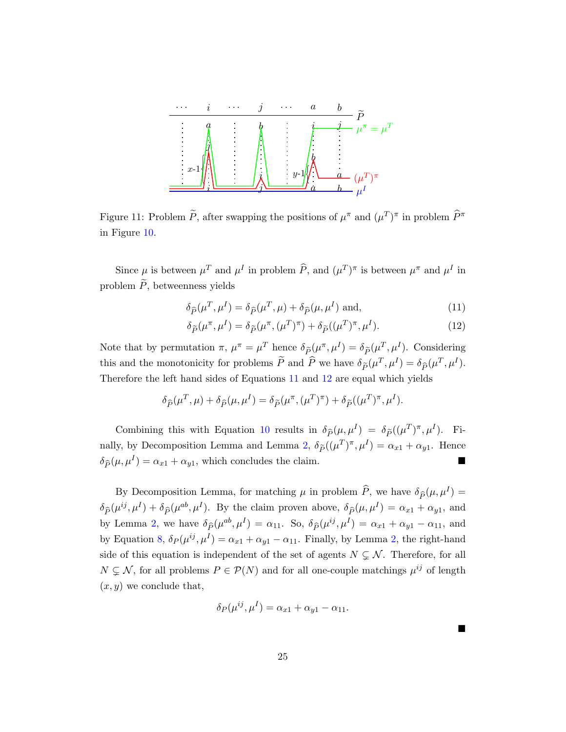<span id="page-24-0"></span>

Figure 11: Problem  $\tilde{P}$ , after swapping the positions of  $\mu^{\pi}$  and  $(\mu^T)^{\pi}$  in problem  $\hat{P}^{\pi}$ in Figure [10.](#page-23-1)

Since  $\mu$  is between  $\mu^T$  and  $\mu^I$  in problem  $\widehat{P}$ , and  $(\mu^T)^{\pi}$  is between  $\mu^{\pi}$  and  $\mu^I$  in problem  $\tilde{P}$ , betweenness yields

$$
\delta_{\widehat{P}}(\mu^T, \mu^I) = \delta_{\widehat{P}}(\mu^T, \mu) + \delta_{\widehat{P}}(\mu, \mu^I) \text{ and}, \qquad (11)
$$

<span id="page-24-2"></span><span id="page-24-1"></span>
$$
\delta_{\widetilde{P}}(\mu^{\pi}, \mu^{I}) = \delta_{\widetilde{P}}(\mu^{\pi}, (\mu^{T})^{\pi}) + \delta_{\widetilde{P}}((\mu^{T})^{\pi}, \mu^{I}).
$$
\n(12)

Note that by permutation  $\pi$ ,  $\mu^{\pi} = \mu^{T}$  hence  $\delta_{\widetilde{P}}(\mu^{\pi}, \mu^{I}) = \delta_{\widetilde{P}}(\mu^{T}, \mu^{I})$ . Considering this and the monotonicity for problems  $\tilde{P}$  and  $\hat{P}$  we have  $\delta_{\tilde{P}}(\mu^T, \mu^I) = \delta_{\hat{P}}(\mu^T, \mu^I)$ . Therefore the left hand sides of Equations [11](#page-24-1) and [12](#page-24-2) are equal which yields

$$
\delta_{\widehat{P}}(\mu^T, \mu) + \delta_{\widehat{P}}(\mu, \mu^I) = \delta_{\widetilde{P}}(\mu^{\pi}, (\mu^T)^{\pi}) + \delta_{\widetilde{P}}((\mu^T)^{\pi}, \mu^I).
$$

Combining this with Equation [10](#page-23-3) results in  $\delta_{\tilde{P}}(\mu, \mu^I) = \delta_{\tilde{P}}((\mu^T)^{\pi}, \mu^I)$ . Fi-nally, by Decomposition Lemma and Lemma [2,](#page-11-0)  $\delta_{\tilde{P}}((\mu^T)^{\pi}, \mu^I) = \alpha_{x1} + \alpha_{y1}$ . Hence  $\delta_{\hat{P}}(\mu, \mu^I) = \alpha_{x1} + \alpha_{y1}$ , which concludes the claim.

By Decomposition Lemma, for matching  $\mu$  in problem  $\hat{P}$ , we have  $\delta_{\hat{P}}(\mu, \mu^I) =$  $\delta_{\widehat{P}}(\mu^{ij}, \mu^{I}) + \delta_{\widehat{P}}(\mu^{ab}, \mu^{I}).$  By the claim proven above,  $\delta_{\widehat{P}}(\mu, \mu^{I}) = \alpha_{x1} + \alpha_{y1}$ , and by Lemma [2,](#page-11-0) we have  $\delta_{\widehat{P}}(\mu^{ab}, \mu^{I}) = \alpha_{11}$ . So,  $\delta_{\widehat{P}}(\mu^{ij}, \mu^{I}) = \alpha_{x1} + \alpha_{y1} - \alpha_{11}$ , and by Equation [8,](#page-22-1)  $\delta_P(\mu^{ij}, \mu^I) = \alpha_{x1} + \alpha_{y1} - \alpha_{11}$ . Finally, by Lemma [2,](#page-11-0) the right-hand side of this equation is independent of the set of agents  $N \subsetneq \mathcal{N}$ . Therefore, for all  $N \subsetneq \mathcal{N}$ , for all problems  $P \in \mathcal{P}(N)$  and for all one-couple matchings  $\mu^{ij}$  of length  $(x, y)$  we conclude that,

$$
\delta_P(\mu^{ij}, \mu^I) = \alpha_{x1} + \alpha_{y1} - \alpha_{11}.
$$

 $\blacksquare$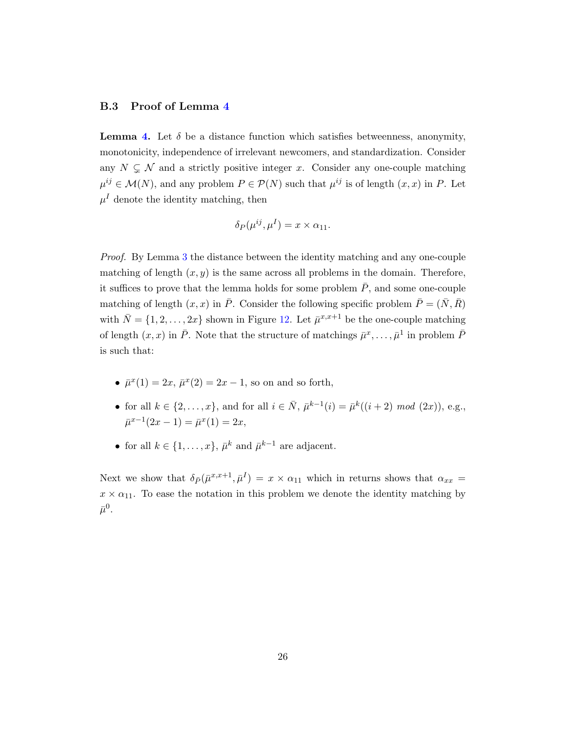### <span id="page-25-0"></span>B.3 Proof of Lemma [4](#page-12-0)

**Lemma [4.](#page-12-0)** Let  $\delta$  be a distance function which satisfies betweenness, anonymity, monotonicity, independence of irrelevant newcomers, and standardization. Consider any  $N \subsetneq \mathcal{N}$  and a strictly positive integer x. Consider any one-couple matching  $\mu^{ij} \in \mathcal{M}(N)$ , and any problem  $P \in \mathcal{P}(N)$  such that  $\mu^{ij}$  is of length  $(x, x)$  in P. Let  $\mu^I$  denote the identity matching, then

$$
\delta_P(\mu^{ij}, \mu^I) = x \times \alpha_{11}.
$$

Proof. By Lemma [3](#page-11-1) the distance between the identity matching and any one-couple matching of length  $(x, y)$  is the same across all problems in the domain. Therefore, it suffices to prove that the lemma holds for some problem  $\overline{P}$ , and some one-couple matching of length  $(x, x)$  in  $\overline{P}$ . Consider the following specific problem  $\overline{P} = (\overline{N}, \overline{R})$ with  $\bar{N} = \{1, 2, ..., 2x\}$  shown in Figure [12.](#page-26-0) Let  $\bar{\mu}^{x,x+1}$  be the one-couple matching of length  $(x, x)$  in  $\overline{P}$ . Note that the structure of matchings  $\overline{\mu}^x, \ldots, \overline{\mu}^1$  in problem  $\overline{P}$ is such that:

- $\bar{\mu}^x(1) = 2x, \bar{\mu}^x(2) = 2x 1$ , so on and so forth,
- for all  $k \in \{2, ..., x\}$ , and for all  $i \in \bar{N}$ ,  $\bar{\mu}^{k-1}(i) = \bar{\mu}^k((i+2) \mod (2x))$ , e.g.,  $\bar{\mu}^{x-1}(2x-1) = \bar{\mu}^x(1) = 2x,$
- for all  $k \in \{1, \ldots, x\}$ ,  $\bar{\mu}^k$  and  $\bar{\mu}^{k-1}$  are adjacent.

Next we show that  $\delta_{\bar{P}}(\bar{\mu}^{x,x+1}, \bar{\mu}^{I}) = x \times \alpha_{11}$  which in returns shows that  $\alpha_{xx} =$  $x \times \alpha_{11}$ . To ease the notation in this problem we denote the identity matching by  $\bar{\mu}^0.$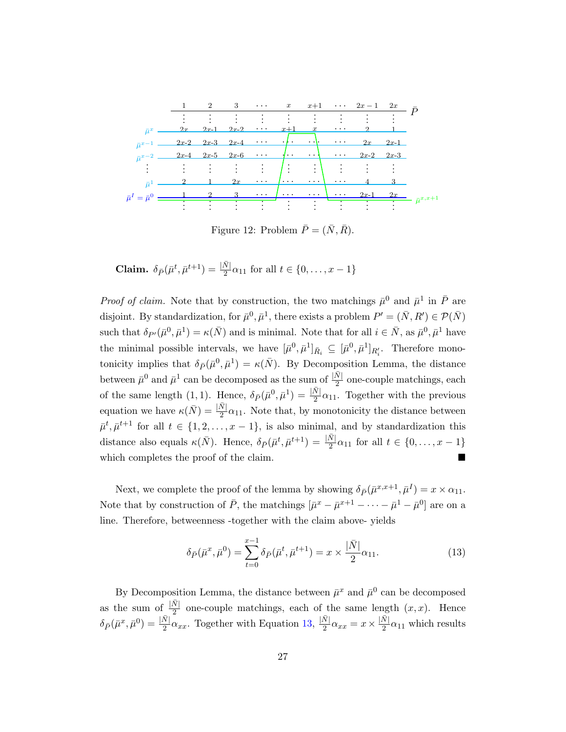<span id="page-26-0"></span>

Figure 12: Problem  $\bar{P} = (\bar{N}, \bar{R})$ .

**Claim.** 
$$
\delta_{\bar{P}}(\bar{\mu}^t, \bar{\mu}^{t+1}) = \frac{|\bar{N}|}{2}\alpha_{11}
$$
 for all  $t \in \{0, ..., x - 1\}$ 

*Proof of claim.* Note that by construction, the two matchings  $\bar{\mu}^0$  and  $\bar{\mu}^1$  in  $\bar{P}$  are disjoint. By standardization, for  $\bar{\mu}^0, \bar{\mu}^1$ , there exists a problem  $P' = (\bar{N}, R') \in \mathcal{P}(\bar{N})$ such that  $\delta_{P'}(\bar{\mu}^0, \bar{\mu}^1) = \kappa(\bar{N})$  and is minimal. Note that for all  $i \in \bar{N}$ , as  $\bar{\mu}^0, \bar{\mu}^1$  have the minimal possible intervals, we have  $[\bar{\mu}^0, \bar{\mu}^1]_{\bar{R}_i} \subseteq [\bar{\mu}^0, \bar{\mu}^1]_{R'_i}$ . Therefore monotonicity implies that  $\delta_{\bar{P}}(\bar{\mu}^0, \bar{\mu}^1) = \kappa(\bar{N})$ . By Decomposition Lemma, the distance between  $\bar{\mu}^0$  and  $\bar{\mu}^1$  can be decomposed as the sum of  $\frac{|\bar{N}|}{2}$  one-couple matchings, each of the same length (1, 1). Hence,  $\delta_{\bar{P}}(\bar{\mu}^0, \bar{\mu}^1) = \frac{|\bar{N}|}{2}\alpha_{11}$ . Together with the previous equation we have  $\kappa(\bar{N}) = \frac{|\bar{N}|}{2}\alpha_{11}$ . Note that, by monotonicity the distance between  $\bar{\mu}^t, \bar{\mu}^{t+1}$  for all  $t \in \{1, 2, ..., x-1\}$ , is also minimal, and by standardization this distance also equals  $\kappa(\bar{N})$ . Hence,  $\delta_{\bar{P}}(\bar{\mu}^t, \bar{\mu}^{t+1}) = \frac{|\bar{N}|}{2}\alpha_{11}$  for all  $t \in \{0, \ldots, x-1\}$ which completes the proof of the claim.

Next, we complete the proof of the lemma by showing  $\delta_{\bar{P}}(\bar{\mu}^{x,x+1}, \bar{\mu}^{I}) = x \times \alpha_{11}$ . Note that by construction of  $\bar{P}$ , the matchings  $[\bar{\mu}^x - \bar{\mu}^{x+1} - \cdots - \bar{\mu}^1 - \bar{\mu}^0]$  are on a line. Therefore, betweenness -together with the claim above- yields

<span id="page-26-1"></span>
$$
\delta_{\bar{P}}(\bar{\mu}^x, \bar{\mu}^0) = \sum_{t=0}^{x-1} \delta_{\bar{P}}(\bar{\mu}^t, \bar{\mu}^{t+1}) = x \times \frac{|\bar{N}|}{2} \alpha_{11}.
$$
\n(13)

By Decomposition Lemma, the distance between  $\bar{\mu}^x$  and  $\bar{\mu}^0$  can be decomposed as the sum of  $\frac{|\bar{N}|}{2}$  one-couple matchings, each of the same length  $(x, x)$ . Hence  $\delta_{\bar{P}}(\bar{\mu}^x, \bar{\mu}^0) = \frac{|\bar{N}|}{2} \alpha_{xx}$ . Together with Equation [13,](#page-26-1)  $\frac{|\bar{N}|}{2}$  $\frac{\bar{N}}{2} \alpha_{xx} = x \times \frac{\bar{N}}{2}$  $\frac{N}{2}\alpha_{11}$  which results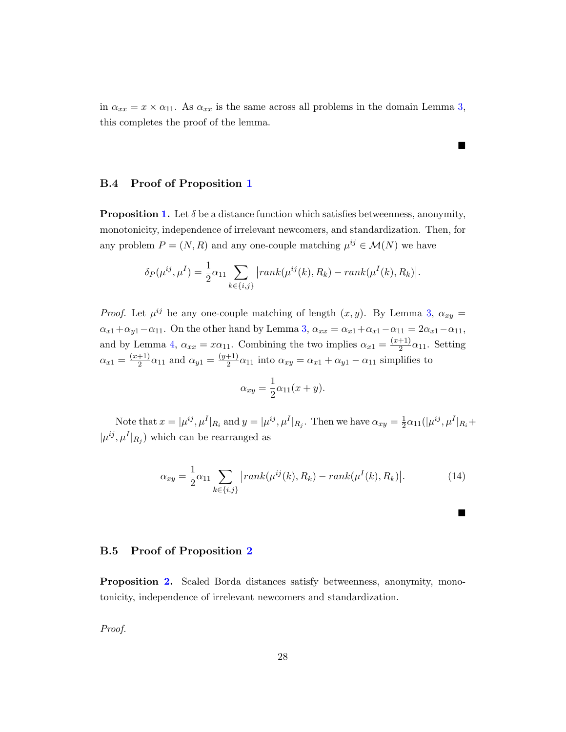in  $\alpha_{xx} = x \times \alpha_{11}$ . As  $\alpha_{xx}$  is the same across all problems in the domain Lemma [3,](#page-11-1) this completes the proof of the lemma.

 $\blacksquare$ 

 $\blacksquare$ 

## <span id="page-27-0"></span>B.4 Proof of Proposition [1](#page-12-1)

**Proposition [1.](#page-12-1)** Let  $\delta$  be a distance function which satisfies betweenness, anonymity, monotonicity, independence of irrelevant newcomers, and standardization. Then, for any problem  $P = (N, R)$  and any one-couple matching  $\mu^{ij} \in \mathcal{M}(N)$  we have

$$
\delta_P(\mu^{ij}, \mu^I) = \frac{1}{2} \alpha_{11} \sum_{k \in \{i, j\}} |rank(\mu^{ij}(k), R_k) - rank(\mu^I(k), R_k)|.
$$

*Proof.* Let  $\mu^{ij}$  be any one-couple matching of length  $(x, y)$ . By Lemma [3,](#page-11-1)  $\alpha_{xy} =$  $\alpha_{x1}+\alpha_{y1}-\alpha_{11}$ . On the other hand by Lemma [3,](#page-11-1)  $\alpha_{xx}=\alpha_{x1}+\alpha_{x1}-\alpha_{11}=2\alpha_{x1}-\alpha_{11}$ , and by Lemma [4,](#page-12-0)  $\alpha_{xx} = x\alpha_{11}$ . Combining the two implies  $\alpha_{x1} = \frac{(x+1)}{2}$  $\frac{+1}{2}\alpha_{11}$ . Setting  $\alpha_{x1} = \frac{(x+1)}{2}$  $\frac{+1)}{2}\alpha_{11}$  and  $\alpha_{y1} = \frac{(y+1)}{2}$  $\frac{1}{2}$  $\alpha_{11}$  into  $\alpha_{xy} = \alpha_{x1} + \alpha_{y1} - \alpha_{11}$  simplifies to

$$
\alpha_{xy} = \frac{1}{2}\alpha_{11}(x+y).
$$

Note that  $x = |\mu^{ij}, \mu^I|_{R_i}$  and  $y = |\mu^{ij}, \mu^I|_{R_j}$ . Then we have  $\alpha_{xy} = \frac{1}{2}$  $\frac{1}{2}\alpha_{11}(|\mu^{ij},\mu^{I}|_{R_{i}}+$  $|\mu^{ij}, \mu^I|_{R_j}$  which can be rearranged as

$$
\alpha_{xy} = \frac{1}{2}\alpha_{11} \sum_{k \in \{i,j\}} |rank(\mu^{ij}(k), R_k) - rank(\mu^{I}(k), R_k)|. \tag{14}
$$

#### <span id="page-27-1"></span>B.5 Proof of Proposition [2](#page-14-3)

Proposition [2.](#page-14-3) Scaled Borda distances satisfy betweenness, anonymity, monotonicity, independence of irrelevant newcomers and standardization.

Proof.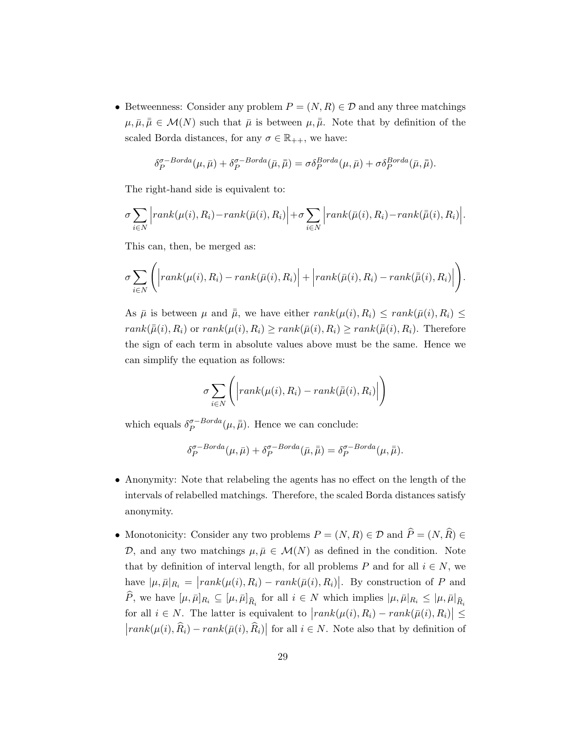• Betweenness: Consider any problem  $P = (N, R) \in \mathcal{D}$  and any three matchings  $\mu, \bar{\mu}, \bar{\mu} \in \mathcal{M}(N)$  such that  $\bar{\mu}$  is between  $\mu, \bar{\mu}$ . Note that by definition of the scaled Borda distances, for any  $\sigma \in \mathbb{R}_{++}$ , we have:

$$
\delta_P^{\sigma-Borda}(\mu,\bar{\mu}) + \delta_P^{\sigma-Borda}(\bar{\mu},\bar{\bar{\mu}}) = \sigma \delta_P^{Borda}(\mu,\bar{\mu}) + \sigma \delta_P^{Borda}(\bar{\mu},\bar{\bar{\mu}}).
$$

The right-hand side is equivalent to:

$$
\sigma \sum_{i \in N} \Big| rank(\mu(i), R_i) - rank(\bar{\mu}(i), R_i) \Big| + \sigma \sum_{i \in N} \Big| rank(\bar{\mu}(i), R_i) - rank(\bar{\mu}(i), R_i) \Big|.
$$

This can, then, be merged as:

$$
\sigma \sum_{i \in N} \Bigg( \Big| rank(\mu(i), R_i) - rank(\bar{\mu}(i), R_i) \Big| + \Big| rank(\bar{\mu}(i), R_i) - rank(\bar{\mu}(i), R_i) \Big| \Bigg).
$$

As  $\bar{\mu}$  is between  $\mu$  and  $\bar{\bar{\mu}}$ , we have either  $rank(\mu(i), R_i) \leq rank(\bar{\mu}(i), R_i) \leq$  $rank(\bar{\bar{\mu}}(i), R_i)$  or  $rank(\mu(i), R_i) \geq rank(\bar{\mu}(i), R_i) \geq rank(\bar{\bar{\mu}}(i), R_i)$ . Therefore the sign of each term in absolute values above must be the same. Hence we can simplify the equation as follows:

$$
\sigma \sum_{i \in N} \left( \left| rank(\mu(i), R_i) - rank(\bar{\mu}(i), R_i) \right| \right)
$$

which equals  $\delta_{P}^{\sigma-Borda}$  $_{P}^{\sigma-Borda}(\mu,\bar{\bar{\mu}})$ . Hence we can conclude:

$$
\delta_P^{\sigma-Borda}(\mu,\bar{\mu}) + \delta_P^{\sigma-Borda}(\bar{\mu},\bar{\bar{\mu}}) = \delta_P^{\sigma-Borda}(\mu,\bar{\bar{\mu}}).
$$

- Anonymity: Note that relabeling the agents has no effect on the length of the intervals of relabelled matchings. Therefore, the scaled Borda distances satisfy anonymity.
- Monotonicity: Consider any two problems  $P = (N, R) \in \mathcal{D}$  and  $\widehat{P} = (N, \widehat{R}) \in \mathcal{D}$ D, and any two matchings  $\mu, \bar{\mu} \in \mathcal{M}(N)$  as defined in the condition. Note that by definition of interval length, for all problems P and for all  $i \in N$ , we have  $|\mu, \bar{\mu}|_{R_i} = |rank(\mu(i), R_i) - rank(\bar{\mu}(i), R_i)|$ . By construction of P and P, we have  $[\mu, \bar{\mu}]_{R_i} \subseteq [\mu, \bar{\mu}]_{\widehat{R}_i}$  for all  $i \in N$  which implies  $|\mu, \bar{\mu}|_{R_i} \leq |\mu, \bar{\mu}|_{\widehat{R}_i}$ for all  $i \in N$ . The latter is equivalent to  $|rank(\mu(i), R_i) - rank(\bar{\mu}(i), R_i)| \leq$  $|rank(\mu(i), \hat{R}_i) - rank(\bar{\mu}(i), \hat{R}_i)|$  for all  $i \in N$ . Note also that by definition of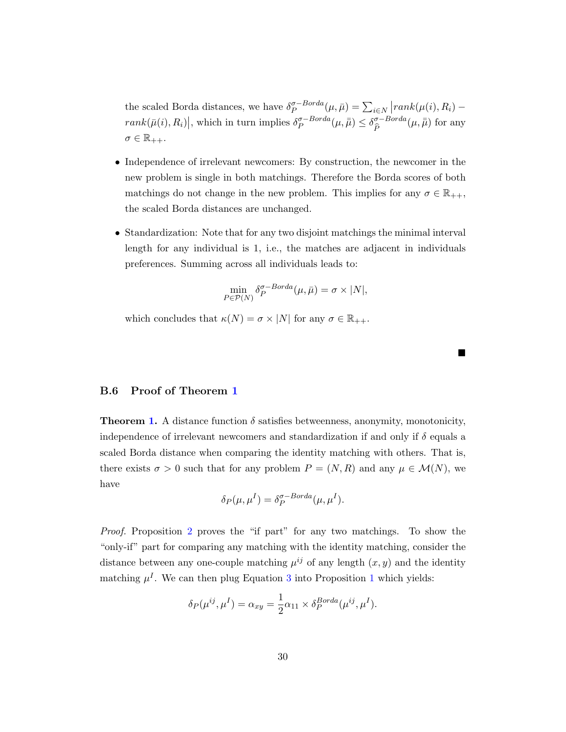the scaled Borda distances, we have  $\delta_P^{\sigma-Borda}$  $P^{a-Borda}_{P}(\mu,\bar{\mu}) = \sum_{i \in N} |rank(\mu(i), R_i)$  $rank(\bar{\mu}(i), R_i)|$ , which in turn implies  $\delta_P^{\sigma-Borda}$  $_{P}^{\sigma-Borda}(\mu,\bar{\bar{\mu}}) \leq \delta^{\sigma-Borda}_{\widehat{P}}$  $\overline{P}$  $(\mu, \bar{\bar{\mu}})$  for any  $\sigma \in \mathbb{R}_{++}$ .

- Independence of irrelevant newcomers: By construction, the newcomer in the new problem is single in both matchings. Therefore the Borda scores of both matchings do not change in the new problem. This implies for any  $\sigma \in \mathbb{R}_{++}$ , the scaled Borda distances are unchanged.
- Standardization: Note that for any two disjoint matchings the minimal interval length for any individual is 1, i.e., the matches are adjacent in individuals preferences. Summing across all individuals leads to:

$$
\min_{P \in \mathcal{P}(N)} \delta_P^{\sigma-Borda}(\mu, \bar{\mu}) = \sigma \times |N|,
$$

 $\blacksquare$ 

which concludes that  $\kappa(N) = \sigma \times |N|$  for any  $\sigma \in \mathbb{R}_{++}$ .

## <span id="page-29-0"></span>B.6 Proof of Theorem [1](#page-14-1)

**Theorem [1.](#page-14-1)** A distance function  $\delta$  satisfies betweenness, anonymity, monotonicity, independence of irrelevant newcomers and standardization if and only if  $\delta$  equals a scaled Borda distance when comparing the identity matching with others. That is, there exists  $\sigma > 0$  such that for any problem  $P = (N, R)$  and any  $\mu \in \mathcal{M}(N)$ , we have

$$
\delta_P(\mu, \mu^I) = \delta_P^{\sigma-Borda}(\mu, \mu^I).
$$

Proof. Proposition [2](#page-14-3) proves the "if part" for any two matchings. To show the "only-if" part for comparing any matching with the identity matching, consider the distance between any one-couple matching  $\mu^{ij}$  of any length  $(x, y)$  and the identity matching  $\mu^I$ . We can then plug Equation [3](#page-13-1) into Proposition [1](#page-12-1) which yields:

$$
\delta_P(\mu^{ij}, \mu^I) = \alpha_{xy} = \frac{1}{2}\alpha_{11} \times \delta_P^{Borda}(\mu^{ij}, \mu^I).
$$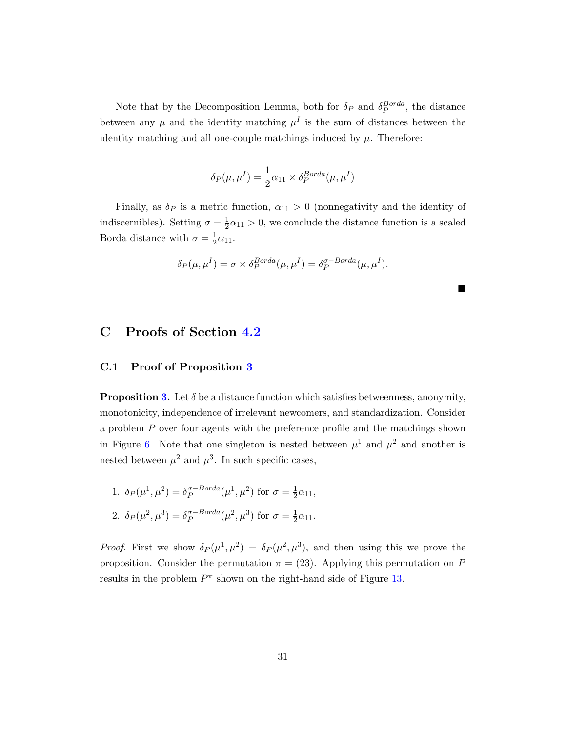Note that by the Decomposition Lemma, both for  $\delta_P$  and  $\delta_P^{Borda}$ , the distance between any  $\mu$  and the identity matching  $\mu^I$  is the sum of distances between the identity matching and all one-couple matchings induced by  $\mu$ . Therefore:

$$
\delta_P(\mu, \mu^I) = \frac{1}{2} \alpha_{11} \times \delta_P^{Borda}(\mu, \mu^I)
$$

Finally, as  $\delta_P$  is a metric function,  $\alpha_{11} > 0$  (nonnegativity and the identity of indiscernibles). Setting  $\sigma = \frac{1}{2}$  $\frac{1}{2}\alpha_{11} > 0$ , we conclude the distance function is a scaled Borda distance with  $\sigma = \frac{1}{2}$  $rac{1}{2}\alpha_{11}.$ 

$$
\delta_P(\mu, \mu^I) = \sigma \times \delta_P^{Borda}(\mu, \mu^I) = \delta_P^{\sigma-Borda}(\mu, \mu^I).
$$

 $\blacksquare$ 

# C Proofs of Section [4.2](#page-14-0)

## <span id="page-30-0"></span>C.1 Proof of Proposition [3](#page-14-2)

**Proposition [3.](#page-14-2)** Let  $\delta$  be a distance function which satisfies betweenness, anonymity, monotonicity, independence of irrelevant newcomers, and standardization. Consider a problem  $P$  over four agents with the preference profile and the matchings shown in Figure [6.](#page-15-1) Note that one singleton is nested between  $\mu^1$  and  $\mu^2$  and another is nested between  $\mu^2$  and  $\mu^3$ . In such specific cases,

1. 
$$
\delta_P(\mu^1, \mu^2) = \delta_P^{\sigma-Borda}(\mu^1, \mu^2)
$$
 for  $\sigma = \frac{1}{2}\alpha_{11}$ ,  
2.  $\delta_P(\mu^2, \mu^3) = \delta_P^{\sigma-Borda}(\mu^2, \mu^3)$  for  $\sigma = \frac{1}{2}\alpha_{11}$ .

*Proof.* First we show  $\delta_P(\mu^1, \mu^2) = \delta_P(\mu^2, \mu^3)$ , and then using this we prove the proposition. Consider the permutation  $\pi = (23)$ . Applying this permutation on P results in the problem  $P^{\pi}$  shown on the right-hand side of Figure [13.](#page-31-0)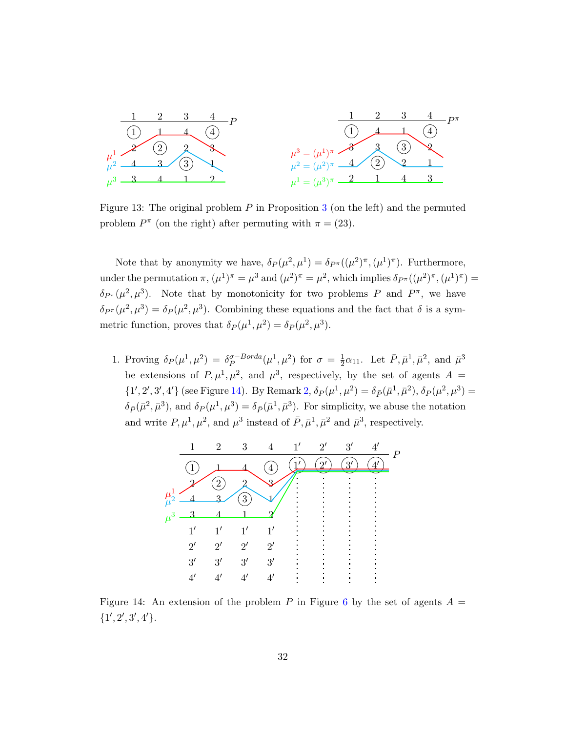<span id="page-31-0"></span>

Figure 1[3](#page-14-2): The original problem  $P$  in Proposition 3 (on the left) and the permuted problem  $P^{\pi}$  (on the right) after permuting with  $\pi = (23)$ .

Note that by anonymity we have,  $\delta_P(\mu^2, \mu^1) = \delta_{P^{\pi}}((\mu^2)^{\pi}, (\mu^1)^{\pi})$ . Furthermore, under the permutation  $\pi$ ,  $(\mu^1)^{\pi} = \mu^3$  and  $(\mu^2)^{\pi} = \mu^2$ , which implies  $\delta_{P^{\pi}}((\mu^2)^{\pi}, (\mu^1)^{\pi}) =$  $\delta_{P^{\pi}}(\mu^2, \mu^3)$ . Note that by monotonicity for two problems P and  $P^{\pi}$ , we have  $\delta_{P^{\pi}}(\mu^2, \mu^3) = \delta_P(\mu^2, \mu^3)$ . Combining these equations and the fact that  $\delta$  is a symmetric function, proves that  $\delta_P(\mu^1, \mu^2) = \delta_P(\mu^2, \mu^3)$ .

1. Proving  $\delta_P(\mu^1, \mu^2) = \delta_P^{\sigma-Borda}$  $_{P}^{\sigma-Borda}(\mu^{1},\mu^{2})$  for  $\sigma = \frac{1}{2}$  $\frac{1}{2}\alpha_{11}$ . Let  $\bar{P}, \bar{\mu}^1, \bar{\mu}^2$ , and  $\bar{\mu}^3$ be extensions of  $P, \mu^1, \mu^2$ , and  $\mu^3$ , respectively, by the set of agents  $A =$  $\{1', 2', 3', 4'\}$  (see Figure [14\)](#page-31-1). By Remark [2,](#page-7-1)  $\delta_P(\mu^1, \mu^2) = \delta_{\bar{P}}(\bar{\mu}^1, \bar{\mu}^2), \delta_P(\mu^2, \mu^3) =$  $\delta_{\bar{P}}(\bar{\mu}^2, \bar{\mu}^3)$ , and  $\delta_{P}(\mu^1, \mu^3) = \delta_{\bar{P}}(\bar{\mu}^1, \bar{\mu}^3)$ . For simplicity, we abuse the notation and write  $P, \mu^1, \mu^2$ , and  $\mu^3$  instead of  $\bar{P}, \bar{\mu}^1, \bar{\mu}^2$  and  $\bar{\mu}^3$ , respectively.

<span id="page-31-1"></span>

Figure 14: An extension of the problem P in Figure [6](#page-15-1) by the set of agents  $A =$  ${1', 2', 3', 4'}$ .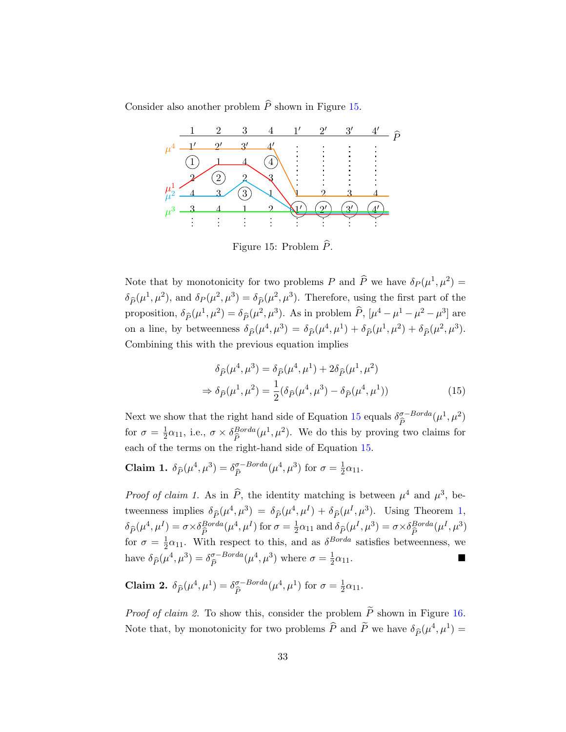<span id="page-32-0"></span>Consider also another problem  $\widehat{P}$  shown in Figure [15.](#page-32-0)



Figure 15: Problem  $\widehat{P}$ .

Note that by monotonicity for two problems P and  $\widehat{P}$  we have  $\delta_P (\mu^1, \mu^2) =$  $\delta_{\widehat{P}}(\mu^1, \mu^2)$ , and  $\delta_P(\mu^2, \mu^3) = \delta_{\widehat{P}}(\mu^2, \mu^3)$ . Therefore, using the first part of the proposition,  $\delta_{\widehat{P}}(\mu^1, \mu^2) = \delta_{\widehat{P}}(\mu^2, \mu^3)$ . As in problem  $\widehat{P}$ ,  $[\mu^4 - \mu^1 - \mu^2 - \mu^3]$  are on a line, by betweenness  $\delta_{\hat{P}}(\mu^4, \mu^3) = \delta_{\hat{P}}(\mu^4, \mu^1) + \delta_{\hat{P}}(\mu^1, \mu^2) + \delta_{\hat{P}}(\mu^2, \mu^3)$ . Combining this with the previous equation implies

<span id="page-32-1"></span>
$$
\delta_{\hat{P}}(\mu^4, \mu^3) = \delta_{\hat{P}}(\mu^4, \mu^1) + 2\delta_{\hat{P}}(\mu^1, \mu^2)
$$
  

$$
\Rightarrow \delta_{\hat{P}}(\mu^1, \mu^2) = \frac{1}{2}(\delta_{\hat{P}}(\mu^4, \mu^3) - \delta_{\hat{P}}(\mu^4, \mu^1))
$$
(15)

Next we show that the right hand side of Equation [15](#page-32-1) equals  $\delta \frac{\sigma - Borda}{\hat{p}}$  $\overline{P}$  $(\mu^1, \mu^2)$ for  $\sigma = \frac{1}{2}$  $\frac{1}{2}\alpha_{11}$ , i.e.,  $\sigma \times \delta_{\widehat{P}}^{Borda}$  $B^{b}$ <br>  $\widehat{P}$   $\widehat{P}$  ( $\mu$ <sup>1</sup>,  $\mu$ <sup>2</sup>). We do this by proving two claims for each of the terms on the right-hand side of Equation [15.](#page-32-1)

**Claim 1.**  $\delta_{\widehat{P}}(\mu^4, \mu^3) = \delta_{\widehat{P}}^{\sigma-Borda}$  $\overline{P}$  $(\mu^4, \mu^3)$  for  $\sigma = \frac{1}{2}$  $rac{1}{2}\alpha_{11}.$ 

*Proof of claim 1.* As in  $\hat{P}$ , the identity matching is between  $\mu^4$  and  $\mu^3$ , betweenness implies  $\delta_{\widehat{P}}(\mu^4, \mu^3) = \delta_{\widehat{P}}(\mu^4, \mu^I) + \delta_{\widehat{P}}(\mu^I, \mu^3)$ . Using Theorem [1,](#page-14-1)  $\delta_{\widehat{P}}(\mu^4, \mu^I) = \sigma \times \delta_{\widehat{P}}^{Borda}(\mu^4, \mu^I)$  for  $\sigma = \frac{1}{2}$  $P^{(p_1, p_2)} = P^{(p_1, p_2)} = P^{(p_2, p_2)} = P^{(p_3, p_3)} = P^{(p_4, p_4)} = P^{(p_5, p_4)} = P^{(p_6, p_5)} = P^{(p_6, p_6)} = P^{(p_6, p_6)} = P^{(p_6, p_6)} = P^{(p_6, p_6)} = P^{(p_6, p_6)} = P^{(p_6, p_6)} = P^{(p_6, p_6)} = P^{(p_6, p_6)} = P^{(p_6, p_6)} = P^{(p_6, p_6)} = P^{(p_6, p_6)} = P^{(p$  $\frac{1}{2}\alpha_{11}$  and  $\delta_{\widehat{P}}(\mu^I, \mu^3) = \sigma \times \delta_{\widehat{P}}^{Borda}(\mu^I, \mu^3)$ for  $\sigma = \frac{1}{2}$  $\frac{1}{2}\alpha_{11}$ . With respect to this, and as  $\delta^{Borda}$  satisfies betweenness, we have  $\delta_{\widehat{P}}(\mu^4, \mu^3) = \delta_{\widehat{P}}^{\sigma-Borda}$  $\overline{P}$  $(\mu^4, \mu^3)$  where  $\sigma = \frac{1}{2}$  $\frac{1}{2}\alpha_{11}$ .

**Claim 2.**  $\delta_{\widehat{P}}(\mu^4, \mu^1) = \delta_{\widehat{P}}^{\sigma-Borda}$  $\overline{P}$  $(\mu^4, \mu^1)$  for  $\sigma = \frac{1}{2}$  $rac{1}{2}\alpha_{11}.$ 

*Proof of claim 2.* To show this, consider the problem  $\widetilde{P}$  shown in Figure [16.](#page-33-0) Note that, by monotonicity for two problems  $\widehat{P}$  and  $\widetilde{P}$  we have  $\delta_{\widehat{P}}(\mu^4, \mu^1) =$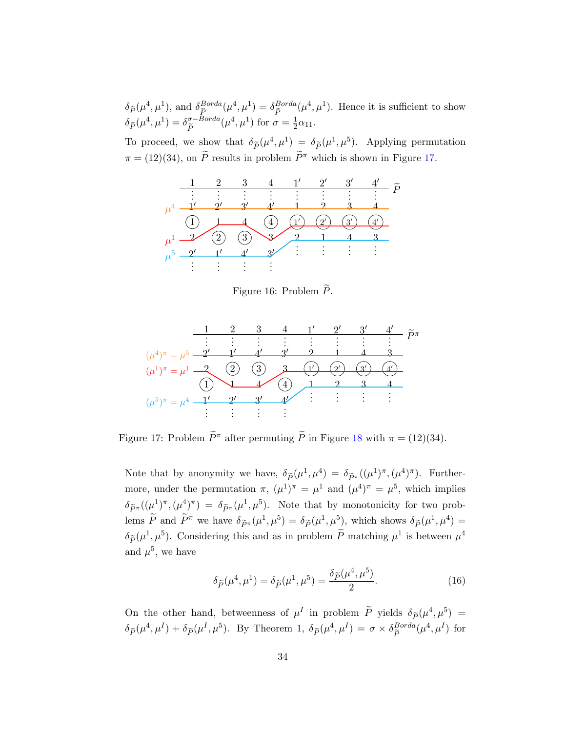$\delta_{\widetilde{P}}(\mu^4, \mu^1)$ , and  $\delta_{\widehat{P}}^{Borda}$  $B^{Borda}_{\widehat{P}}(\mu^4, \mu^1) = \delta_{\widetilde{P}}^{Borda}$  $\tilde{P}^{Borda}(\mu^4, \mu^1)$ . Hence it is sufficient to show  $\delta_{\widetilde{P}}(\mu^4,\mu^1)=\delta_{\widetilde{P}}^{\sigma-Borda}$ Pe  $(\mu^4, \mu^1)$  for  $\sigma = \frac{1}{2}$  $rac{1}{2}\alpha_{11}.$ 

<span id="page-33-0"></span>To proceed, we show that  $\delta_{\tilde{P}}(\mu^4, \mu^1) = \delta_{\tilde{P}}(\mu^1, \mu^5)$ . Applying permutation  $\pi = (12)(34)$ , on  $\widetilde{P}$  results in problem  $\widetilde{P}^{\pi}$  which is shown in Figure [17.](#page-33-1)



Figure 16: Problem  $\widetilde{P}$ .

<span id="page-33-1"></span>

Figure 17: Problem  $\tilde{P}^{\pi}$  after permuting  $\tilde{P}$  in Figure [18](#page-35-1) with  $\pi = (12)(34)$ .

Note that by anonymity we have,  $\delta_{\widetilde{P}}(\mu^1, \mu^4) = \delta_{\widetilde{P}^{\pi}}((\mu^1)^{\pi}, (\mu^4)^{\pi})$ . Furthermore, under the permutation  $\pi$ ,  $(\mu^1)^\pi = \mu^1$  and  $(\mu^4)^\pi = \mu^5$ , which implies  $\delta_{\widetilde{P}^{\pi}}((\mu^1)^{\pi},(\mu^4)^{\pi}) = \delta_{\widetilde{P}^{\pi}}(\mu^1,\mu^5)$ . Note that by monotonicity for two problems  $\widetilde{P}$  and  $\widetilde{P}^{\pi}$  we have  $\delta_{\widetilde{P}^{\pi}}(\mu^1, \mu^5) = \delta_{\widetilde{P}}(\mu^1, \mu^5)$ , which shows  $\delta_{\widetilde{P}}(\mu^1, \mu^4) =$  $\delta_{\widetilde{P}}(\mu^1, \mu^5)$ . Considering this and as in problem  $\widetilde{P}$  matching  $\mu^1$  is between  $\mu^4$ and  $\mu^5$ , we have

<span id="page-33-2"></span>
$$
\delta_{\widetilde{P}}(\mu^4, \mu^1) = \delta_{\widetilde{P}}(\mu^1, \mu^5) = \frac{\delta_{\widetilde{P}}(\mu^4, \mu^5)}{2}.
$$
\n(16)

On the other hand, betweenness of  $\mu^I$  in problem  $\tilde{P}$  yields  $\delta_{\tilde{P}}(\mu^4, \mu^5)$  $\delta_{\widetilde{P}}(\mu^4, \mu^I) + \delta_{\widetilde{P}}(\mu^I, \mu^5)$ . By Theorem [1,](#page-14-1)  $\delta_{\widetilde{P}}(\mu^4, \mu^I) = \sigma \times \delta_{\widetilde{P}}^{Borda}$  $\frac{Borda}{\tilde{P}}(\mu^4, \mu^I)$  for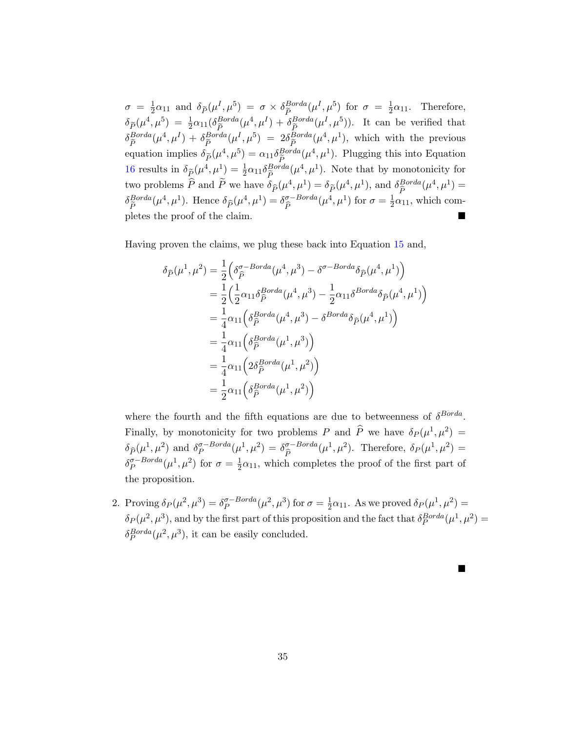$\sigma = \frac{1}{2}$  $\frac{1}{2}\alpha_{11}$  and  $\delta_{\widetilde{P}}(\mu^I, \mu^5) = \sigma \times \delta_{\widetilde{P}}^{Borda}$  $\frac{Borda}{\tilde{P}}(\mu^I, \mu^5)$  for  $\sigma = \frac{1}{2}$  $\frac{1}{2}\alpha_{11}$ . Therefore,  $\delta_{\widetilde{P}}(\mu^4, \mu^5) = \frac{1}{2}\alpha_{11}(\delta_{\widetilde{P}}^{Borda})$  $\frac{\beta}{\widetilde{P}}^{Borda}(\mu^4, \mu^I) + \delta_{\widetilde{P}}^{Borda}$  $_{\tilde{P}}^{Borda}(\mu^I, \mu^5)$ . It can be verified that  $\delta_{\widetilde{P}}^{Borda}$  $\frac{\beta}{\widetilde{P}}^{Borda}(\mu^4, \mu^I) + \delta_{\widetilde{P}}^{Borda}$  $\frac{Borda}{\tilde{P}}(\mu^I, \mu^5) = 2\delta_{\tilde{P}}^{Borda}$  $\tilde{P}^{Borda}_{\tilde{P}}(\mu^4, \mu^1)$ , which with the previous equation implies  $\delta_{\tilde{P}}(\mu^4, \mu^5) = \alpha_{11} \delta_{\tilde{P}}^{Borda}$  $E_P^{Borda}(\mu^4, \mu^1)$ . Plugging this into Equation [16](#page-33-2) results in  $\delta_{\tilde{P}}(\mu^4, \mu^1) = \frac{1}{2}\alpha_{11}\delta_{\tilde{P}}^{Borda}(\mu^4, \mu^1)$ . Note that by monotonicity for  $\frac{P}{c}$ two problems  $\widehat{P}$  and  $\widetilde{P}$  we have  $\delta_{\widehat{P}}(\mu^4, \mu^1) = \delta_{\widetilde{P}}(\mu^4, \mu^1)$ , and  $\delta_{\widehat{P}}^{Borda}(\mu^4, \mu^1) =$  $\overline{P}$  $\delta_{\tilde{P}}^{Borda}$  ${}^{Borda}_{\tilde{P}}(\mu^4, \mu^1)$ . Hence  $\delta_{\hat{P}}(\mu^4, \mu^1) = \delta_{\hat{P}}^{\sigma-Borda}$  $\overline{P}$  $(\mu^4, \mu^1)$  for  $\sigma = \frac{1}{2}$  $\frac{1}{2}\alpha_{11}$ , which completes the proof of the claim.

Having proven the claims, we plug these back into Equation [15](#page-32-1) and,

$$
\delta_{\widehat{P}}(\mu^1, \mu^2) = \frac{1}{2} \Big( \delta_{\widehat{P}}^{\sigma - Borda}(\mu^4, \mu^3) - \delta^{\sigma - Borda} \delta_{\widehat{P}}(\mu^4, \mu^1) \Big)
$$
  
\n
$$
= \frac{1}{2} \Big( \frac{1}{2} \alpha_{11} \delta_{\widehat{P}}^{Borda}(\mu^4, \mu^3) - \frac{1}{2} \alpha_{11} \delta^{Borda} \delta_{\widehat{P}}(\mu^4, \mu^1) \Big)
$$
  
\n
$$
= \frac{1}{4} \alpha_{11} \Big( \delta_{\widehat{P}}^{Borda}(\mu^4, \mu^3) - \delta^{Borda} \delta_{\widehat{P}}(\mu^4, \mu^1) \Big)
$$
  
\n
$$
= \frac{1}{4} \alpha_{11} \Big( \delta_{\widehat{P}}^{Borda}(\mu^1, \mu^3) \Big)
$$
  
\n
$$
= \frac{1}{4} \alpha_{11} \Big( 2 \delta_{\widehat{P}}^{Borda}(\mu^1, \mu^2) \Big)
$$
  
\n
$$
= \frac{1}{2} \alpha_{11} \Big( \delta_{\widehat{P}}^{Borda}(\mu^1, \mu^2) \Big)
$$

where the fourth and the fifth equations are due to betweenness of  $\delta^{Borda}$ . Finally, by monotonicity for two problems P and  $\hat{P}$  we have  $\delta_P (\mu^1, \mu^2)$  =  $\delta_{\widehat{P}}(\mu^1, \mu^2)$  and  $\delta_P^{\sigma-Borda}$  $\mathcal{L}_{P}^{\sigma-Borda}(\mu^{1},\mu^{2}) = \delta_{\widehat{P}}^{\sigma-Borda}(\mu^{1},\mu^{2}).$  Therefore,  $\delta_{P}(\mu^{1},\mu^{2}) =$  $\int_{1}^{p}$  $\delta_P^{\sigma-Borda}$  $_{P}^{\sigma-Borda}(\mu^{1},\mu^{2})$  for  $\sigma=\frac{1}{2}$  $\frac{1}{2}\alpha_{11}$ , which completes the proof of the first part of the proposition.

2. Proving  $\delta_P(\mu^2, \mu^3) = \delta_P^{\sigma-Borda}$  $_{P}^{\sigma-Borda}(\mu^2,\mu^3)$  for  $\sigma=\frac{1}{2}$  $\frac{1}{2}\alpha_{11}$ . As we proved  $\delta_P(\mu^1,\mu^2)$  =  $\delta_P(\mu^2, \mu^3)$ , and by the first part of this proposition and the fact that  $\delta_P^{Borda}(\mu^1, \mu^2)$  =  $\delta_P^{Borda}(\mu^2, \mu^3)$ , it can be easily concluded.

 $\blacksquare$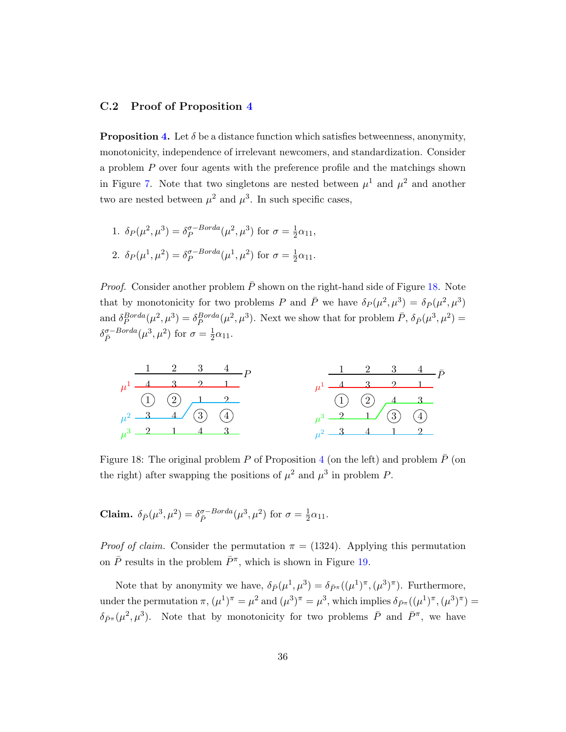## <span id="page-35-0"></span>C.2 Proof of Proposition [4](#page-15-0)

**Proposition [4.](#page-15-0)** Let  $\delta$  be a distance function which satisfies betweenness, anonymity, monotonicity, independence of irrelevant newcomers, and standardization. Consider a problem P over four agents with the preference profile and the matchings shown in Figure [7.](#page-15-2) Note that two singletons are nested between  $\mu^1$  and  $\mu^2$  and another two are nested between  $\mu^2$  and  $\mu^3$ . In such specific cases,

1. 
$$
\delta_P(\mu^2, \mu^3) = \delta_P^{\sigma-Borda}(\mu^2, \mu^3)
$$
 for  $\sigma = \frac{1}{2}\alpha_{11}$ ,  
2.  $\delta_P(\mu^1, \mu^2) = \delta_P^{\sigma-Borda}(\mu^1, \mu^2)$  for  $\sigma = \frac{1}{2}\alpha_{11}$ .

*Proof.* Consider another problem  $\overline{P}$  shown on the right-hand side of Figure [18.](#page-35-1) Note that by monotonicity for two problems P and  $\bar{P}$  we have  $\delta_P(\mu^2, \mu^3) = \delta_{\bar{P}}(\mu^2, \mu^3)$ and  $\delta_P^{Borda}(\mu^2, \mu^3) = \delta_{\bar{P}}^{Borda}(\mu^2, \mu^3)$ . Next we show that for problem  $\bar{P}, \delta_{\bar{P}}(\mu^3, \mu^2) =$  $\delta_{\bar{P}}^{\sigma-Borda}(\mu^3, \mu^2)$  for  $\sigma = \frac{1}{2}$  $rac{1}{2}\alpha_{11}.$ 

<span id="page-35-1"></span>

Figure 18: The original problem P of Proposition [4](#page-15-0) (on the left) and problem  $\bar{P}$  (on the right) after swapping the positions of  $\mu^2$  and  $\mu^3$  in problem P.

**Claim.**  $\delta_{\bar{P}}(\mu^3, \mu^2) = \delta_{\bar{P}}^{\sigma-Borda}(\mu^3, \mu^2)$  for  $\sigma = \frac{1}{2}$  $rac{1}{2}\alpha_{11}.$ 

*Proof of claim.* Consider the permutation  $\pi = (1324)$ . Applying this permutation on  $\bar{P}$  results in the problem  $\bar{P}^{\pi}$ , which is shown in Figure [19.](#page-36-0)

Note that by anonymity we have,  $\delta_{\bar{P}}(\mu^1, \mu^3) = \delta_{\bar{P}^{\pi}}((\mu^1)^{\pi}, (\mu^3)^{\pi})$ . Furthermore, under the permutation  $\pi$ ,  $(\mu^1)^{\pi} = \mu^2$  and  $(\mu^3)^{\pi} = \mu^3$ , which implies  $\delta_{\bar{P}^{\pi}}((\mu^1)^{\pi}, (\mu^3)^{\pi}) =$  $\delta_{\bar{P}^{\pi}}(\mu^2, \mu^3)$ . Note that by monotonicity for two problems  $\bar{P}$  and  $\bar{P}^{\pi}$ , we have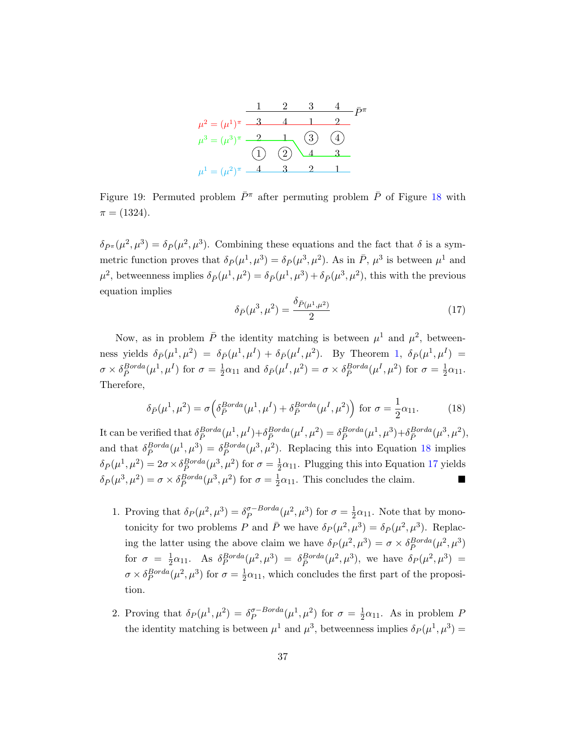<span id="page-36-0"></span>

Figure 19: Permuted problem  $\bar{P}^{\pi}$  after permuting problem  $\bar{P}$  of Figure [18](#page-35-1) with  $\pi = (1324).$ 

 $\delta_{\bar{P}^{\pi}}(\mu^2, \mu^3) = \delta_{\bar{P}}(\mu^2, \mu^3)$ . Combining these equations and the fact that  $\delta$  is a symmetric function proves that  $\delta_{\bar{P}}(\mu^1, \mu^3) = \delta_{\bar{P}}(\mu^3, \mu^2)$ . As in  $\bar{P}$ ,  $\mu^3$  is between  $\mu^1$  and  $\mu^2$ , betweenness implies  $\delta_{\bar{P}}(\mu^1, \mu^2) = \delta_{\bar{P}}(\mu^1, \mu^3) + \delta_{\bar{P}}(\mu^3, \mu^2)$ , this with the previous equation implies

<span id="page-36-2"></span>
$$
\delta_{\bar{P}}(\mu^3, \mu^2) = \frac{\delta_{\bar{P}(\mu^1, \mu^2)}}{2} \tag{17}
$$

Now, as in problem  $\bar{P}$  the identity matching is between  $\mu^1$  and  $\mu^2$ , betweenness yields  $\delta_{\bar{P}}(\mu^1, \mu^2) = \delta_{\bar{P}}(\mu^1, \mu^I) + \delta_{\bar{P}}(\mu^I, \mu^2)$  $\delta_{\bar{P}}(\mu^1, \mu^2) = \delta_{\bar{P}}(\mu^1, \mu^I) + \delta_{\bar{P}}(\mu^I, \mu^2)$  $\delta_{\bar{P}}(\mu^1, \mu^2) = \delta_{\bar{P}}(\mu^1, \mu^I) + \delta_{\bar{P}}(\mu^I, \mu^2)$ . By Theorem 1,  $\delta_{\bar{P}}(\mu^1, \mu^I) =$  $\sigma \times \delta_{\bar{P}}^{Borda}(\mu^1, \mu^I)$  for  $\sigma = \frac{1}{2}$  $\frac{1}{2}\alpha_{11}$  and  $\delta_{\bar{P}}(\mu^I, \mu^2) = \sigma \times \delta_{\bar{P}}^{Borda}(\mu^I, \mu^2)$  for  $\sigma = \frac{1}{2}$  $rac{1}{2}\alpha_{11}.$ Therefore,

<span id="page-36-1"></span>
$$
\delta_{\bar{P}}(\mu^1, \mu^2) = \sigma \left( \delta_P^{Borda}(\mu^1, \mu^I) + \delta_P^{Borda}(\mu^I, \mu^2) \right) \text{ for } \sigma = \frac{1}{2}\alpha_{11}.
$$
 (18)

It can be verified that  $\delta_{\bar{P}}^{Borda}(\mu^1, \mu^I) + \delta_{\bar{P}}^{Borda}(\mu^I, \mu^2) = \delta_{\bar{P}}^{Borda}(\mu^1, \mu^3) + \delta_{\bar{P}}^{Borda}(\mu^3, \mu^2),$ and that  $\delta_{\bar{P}}^{Borda}(\mu^1, \mu^3) = \delta_{\bar{P}}^{Borda}(\mu^3, \mu^2)$ . Replacing this into Equation [18](#page-36-1) implies  $\delta_{\bar{P}}(\mu^1, \mu^2) = 2\sigma \times \delta_{\bar{P}}^{Borda}(\mu^3, \mu^2)$  for  $\sigma = \frac{1}{2}$  $\frac{1}{2}\alpha_{11}$ . Plugging this into Equation [17](#page-36-2) yields  $\delta_{\bar{P}}(\mu^3, \mu^2) = \sigma \times \delta_{\bar{P}}^{Borda}(\mu^3, \mu^2)$  for  $\sigma = \frac{1}{2}$  $\frac{1}{2}\alpha_{11}$ . This concludes the claim.

- 1. Proving that  $\delta_P(\mu^2, \mu^3) = \delta_P^{\sigma-Borda}$  $_{P}^{\sigma-Borda}(\mu^2, \mu^3)$  for  $\sigma = \frac{1}{2}$  $\frac{1}{2}\alpha_{11}$ . Note that by monotonicity for two problems P and  $\bar{P}$  we have  $\delta_P(\mu^2, \mu^3) = \delta_{\bar{P}}(\mu^2, \mu^3)$ . Replacing the latter using the above claim we have  $\delta_P(\mu^2, \mu^3) = \sigma \times \delta_{\bar{P}}^{Borda}(\mu^2, \mu^3)$ for  $\sigma = \frac{1}{2}$  $\frac{1}{2}\alpha_{11}$ . As  $\delta_P^{Borda}(\mu^2, \mu^3) = \delta_P^{Borda}(\mu^2, \mu^3)$ , we have  $\delta_P(\mu^2, \mu^3) =$  $\sigma \times \delta_P^{Borda}(\mu^2, \mu^3)$  for  $\sigma = \frac{1}{2}$  $\frac{1}{2}\alpha_{11}$ , which concludes the first part of the proposition.
- 2. Proving that  $\delta_P(\mu^1, \mu^2) = \delta_P^{\sigma-Borda}$  $_{P}^{\sigma- Borda}(\mu^{1}, \mu^{2})$  for  $\sigma = \frac{1}{2}$  $\frac{1}{2}\alpha_{11}$ . As in problem P the identity matching is between  $\mu^1$  and  $\mu^3$ , betweenness implies  $\delta_P(\mu^1, \mu^3)$  =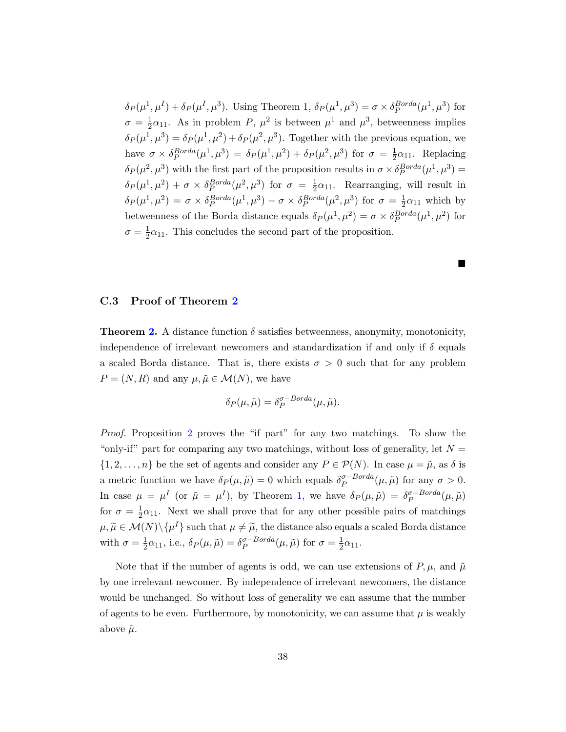$\delta_P(\mu^1, \mu^I) + \delta_P(\mu^I, \mu^3)$  $\delta_P(\mu^1, \mu^I) + \delta_P(\mu^I, \mu^3)$  $\delta_P(\mu^1, \mu^I) + \delta_P(\mu^I, \mu^3)$ . Using Theorem 1,  $\delta_P(\mu^1, \mu^3) = \sigma \times \delta_P^{Borda}(\mu^1, \mu^3)$  for  $\sigma = \frac{1}{2}$  $\frac{1}{2}\alpha_{11}$ . As in problem P,  $\mu^2$  is between  $\mu^1$  and  $\mu^3$ , betweenness implies  $\delta_P(\mu^1, \mu^3) = \delta_P(\mu^1, \mu^2) + \delta_P(\mu^2, \mu^3)$ . Together with the previous equation, we have  $\sigma \times \delta_P^{Borda}(\mu^1, \mu^3) = \delta_P(\mu^1, \mu^2) + \delta_P(\mu^2, \mu^3)$  for  $\sigma = \frac{1}{2}$  $\frac{1}{2}\alpha_{11}$ . Replacing  $\delta_P(\mu^2, \mu^3)$  with the first part of the proposition results in  $\sigma \times \delta_P^{Borda}(\mu^1, \mu^3) =$  $\delta_P(\mu^1, \mu^2) + \sigma \times \delta_P^{Borda}(\mu^2, \mu^3)$  for  $\sigma = \frac{1}{2}$  $\frac{1}{2}\alpha_{11}$ . Rearranging, will result in  $\delta_P(\mu^1, \mu^2) = \sigma \times \delta_P^{Borda}(\mu^1, \mu^3) - \sigma \times \delta_P^{Borda}(\mu^2, \mu^3)$  for  $\sigma = \frac{1}{2}$  $\frac{1}{2}\alpha_{11}$  which by betweenness of the Borda distance equals  $\delta_P(\mu^1, \mu^2) = \sigma \times \delta_P^{Borda}(\mu^1, \mu^2)$  for  $\sigma = \frac{1}{2}$  $\frac{1}{2}\alpha_{11}$ . This concludes the second part of the proposition.

 $\blacksquare$ 

#### <span id="page-37-0"></span>C.3 Proof of Theorem [2](#page-16-0)

**Theorem [2.](#page-16-0)** A distance function  $\delta$  satisfies betweenness, anonymity, monotonicity, independence of irrelevant newcomers and standardization if and only if  $\delta$  equals a scaled Borda distance. That is, there exists  $\sigma > 0$  such that for any problem  $P = (N, R)$  and any  $\mu, \tilde{\mu} \in \mathcal{M}(N)$ , we have

$$
\delta_P(\mu, \tilde{\mu}) = \delta_P^{\sigma-Borda}(\mu, \tilde{\mu}).
$$

Proof. Proposition [2](#page-14-3) proves the "if part" for any two matchings. To show the "only-if" part for comparing any two matchings, without loss of generality, let  $N =$  $\{1, 2, \ldots, n\}$  be the set of agents and consider any  $P \in \mathcal{P}(N)$ . In case  $\mu = \tilde{\mu}$ , as  $\delta$  is a metric function we have  $\delta_P(\mu, \tilde{\mu}) = 0$  which equals  $\delta_P^{\sigma-Borda}$  $_{P}^{\sigma-Borda}(\mu,\tilde{\mu})$  for any  $\sigma>0$ . In case  $\mu = \mu^I$  (or  $\tilde{\mu} = \mu^I$ ), by Theorem [1,](#page-14-1) we have  $\delta_P(\mu, \tilde{\mu}) = \delta_P^{\sigma-Borda}$  $_{P}^{\sigma- Borda}(\mu,\tilde{\mu})$ for  $\sigma = \frac{1}{2}$  $\frac{1}{2}\alpha_{11}$ . Next we shall prove that for any other possible pairs of matchings  $\mu, \widetilde{\mu} \in \mathcal{M}(N) \setminus {\{\mu^I\}}$  such that  $\mu \neq \widetilde{\mu}$ , the distance also equals a scaled Borda distance with  $\sigma = \frac{1}{2}$  $\frac{1}{2}\alpha_{11}$ , i.e.,  $\delta_P(\mu, \tilde{\mu}) = \delta_P^{\sigma-Borda}$  $_{P}^{\sigma-Borda}(\mu,\tilde{\mu})$  for  $\sigma=\frac{1}{2}$  $rac{1}{2}\alpha_{11}.$ 

Note that if the number of agents is odd, we can use extensions of  $P, \mu$ , and  $\tilde{\mu}$ by one irrelevant newcomer. By independence of irrelevant newcomers, the distance would be unchanged. So without loss of generality we can assume that the number of agents to be even. Furthermore, by monotonicity, we can assume that  $\mu$  is weakly above  $\tilde{\mu}$ .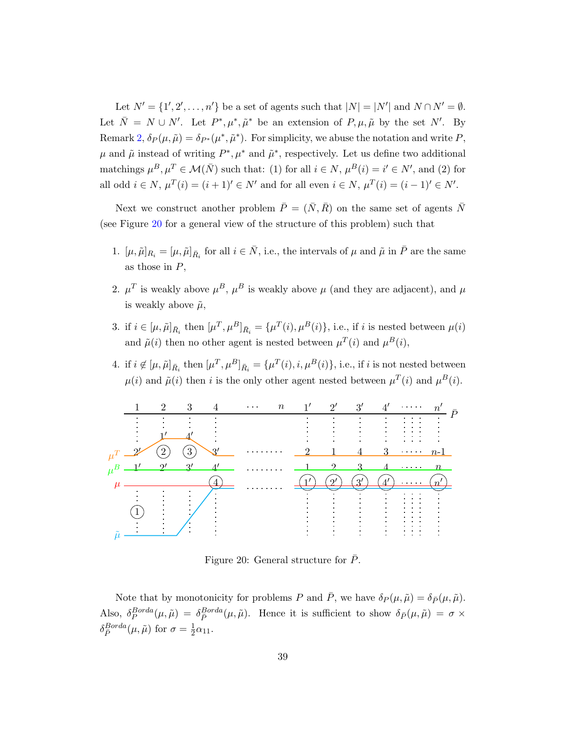Let  $N' = \{1', 2', \ldots, n'\}$  be a set of agents such that  $|N| = |N'|$  and  $N \cap N' = \emptyset$ . Let  $\bar{N} = N \cup N'$ . Let  $P^*, \mu^*, \tilde{\mu}^*$  be an extension of  $P, \mu, \tilde{\mu}$  by the set N'. By Remark [2,](#page-7-1)  $\delta_P(\mu, \tilde{\mu}) = \delta_{P^*}(\mu^*, \tilde{\mu}^*)$ . For simplicity, we abuse the notation and write P,  $\mu$  and  $\tilde{\mu}$  instead of writing  $P^*, \mu^*$  and  $\tilde{\mu}^*$ , respectively. Let us define two additional matchings  $\mu^B, \mu^T \in \mathcal{M}(\bar{N})$  such that: (1) for all  $i \in N$ ,  $\mu^B(i) = i' \in N'$ , and (2) for all odd  $i \in N$ ,  $\mu^{T}(i) = (i + 1)' \in N'$  and for all even  $i \in N$ ,  $\mu^{T}(i) = (i - 1)' \in N'$ .

Next we construct another problem  $\overline{P} = (\overline{N}, \overline{R})$  on the same set of agents  $\overline{N}$ (see Figure [20](#page-38-0) for a general view of the structure of this problem) such that

- 1.  $[\mu, \tilde{\mu}]_{R_i} = [\mu, \tilde{\mu}]_{\bar{R_i}}$  for all  $i \in \bar{N}$ , i.e., the intervals of  $\mu$  and  $\tilde{\mu}$  in  $\bar{P}$  are the same as those in  $P$ ,
- 2.  $\mu^T$  is weakly above  $\mu^B$ ,  $\mu^B$  is weakly above  $\mu$  (and they are adjacent), and  $\mu$ is weakly above  $\tilde{\mu}$ ,
- 3. if  $i \in [\mu, \tilde{\mu}]_{\bar{R}_i}$  then  $[\mu^T, \mu^B]_{\bar{R}_i} = {\mu^T(i), \mu^B(i)}$ , i.e., if i is nested between  $\mu(i)$ and  $\tilde{\mu}(i)$  then no other agent is nested between  $\mu^T(i)$  and  $\mu^B(i)$ ,
- 4. if  $i \notin [\mu, \tilde{\mu}]_{\bar{R}_i}$  then  $[\mu^T, \mu^B]_{\bar{R}_i} = {\mu^T(i), i, \mu^B(i)}$ , i.e., if i is not nested between  $\mu(i)$  and  $\tilde{\mu}(i)$  then i is the only other agent nested between  $\mu^T(i)$  and  $\mu^B(i)$ .

<span id="page-38-0"></span>

Figure 20: General structure for  $P$ .

Note that by monotonicity for problems P and  $\bar{P}$ , we have  $\delta_P(\mu, \tilde{\mu}) = \delta_{\bar{P}}(\mu, \tilde{\mu})$ . Also,  $\delta_P^{Borda}(\mu, \tilde{\mu}) = \delta_{\bar{P}}^{Borda}(\mu, \tilde{\mu})$ . Hence it is sufficient to show  $\delta_{\bar{P}}(\mu, \tilde{\mu}) = \sigma \times$  $\delta_{\bar{P}}^{Borda}(\mu, \tilde{\mu})$  for  $\sigma = \frac{1}{2}$  $rac{1}{2}\alpha_{11}.$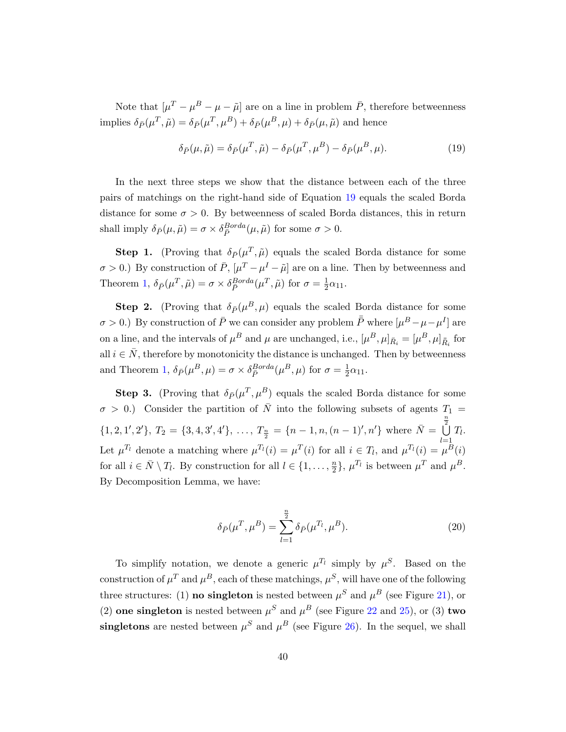Note that  $[\mu^T - \mu^B - \mu - \tilde{\mu}]$  are on a line in problem  $\bar{P}$ , therefore betweenness implies  $\delta_{\bar{P}}(\mu^T, \tilde{\mu}) = \delta_{\bar{P}}(\mu^T, \mu^B) + \delta_{\bar{P}}(\mu^B, \mu) + \delta_{\bar{P}}(\mu, \tilde{\mu})$  and hence

<span id="page-39-0"></span>
$$
\delta_{\bar{P}}(\mu, \tilde{\mu}) = \delta_{\bar{P}}(\mu^T, \tilde{\mu}) - \delta_{\bar{P}}(\mu^T, \mu^B) - \delta_{\bar{P}}(\mu^B, \mu). \tag{19}
$$

In the next three steps we show that the distance between each of the three pairs of matchings on the right-hand side of Equation [19](#page-39-0) equals the scaled Borda distance for some  $\sigma > 0$ . By betweenness of scaled Borda distances, this in return shall imply  $\delta_{\bar{P}}(\mu, \tilde{\mu}) = \sigma \times \delta_{\bar{P}}^{Borda}(\mu, \tilde{\mu})$  for some  $\sigma > 0$ .

**Step 1.** (Proving that  $\delta_{\bar{P}}(\mu^T, \tilde{\mu})$  equals the scaled Borda distance for some  $\sigma > 0$ .) By construction of  $\bar{P}$ ,  $[\mu^T - \mu^I - \tilde{\mu}]$  are on a line. Then by betweenness and Theorem [1,](#page-14-1)  $\delta_{\bar{P}}(\mu^T, \tilde{\mu}) = \sigma \times \delta_{\bar{P}}^{Borda}(\mu^T, \tilde{\mu})$  for  $\sigma = \frac{1}{2}$  $rac{1}{2}\alpha_{11}.$ 

**Step 2.** (Proving that  $\delta_{\bar{P}}(\mu^B, \mu)$  equals the scaled Borda distance for some  $\sigma > 0$ .) By construction of  $\bar{P}$  we can consider any problem  $\bar{\bar{P}}$  where  $[\mu^B - \mu - \mu^I]$  are on a line, and the intervals of  $\mu^B$  and  $\mu$  are unchanged, i.e.,  $[\mu^B, \mu]_{\bar{R}_i} = [\mu^B, \mu]_{\bar{R}_i}$  for all  $i \in \overline{N}$ , therefore by monotonicity the distance is unchanged. Then by betweenness and Theorem [1,](#page-14-1)  $\delta_{\bar{P}}(\mu^B, \mu) = \sigma \times \delta_{\bar{P}}^{Borda}(\mu^B, \mu)$  for  $\sigma = \frac{1}{2}$  $rac{1}{2}\alpha_{11}.$ 

**Step 3.** (Proving that  $\delta_{\bar{P}}(\mu^T, \mu^B)$  equals the scaled Borda distance for some  $\sigma > 0$ .) Consider the partition of  $\overline{N}$  into the following subsets of agents  $T_1 =$  $\{1, 2, 1', 2'\}, T_2 = \{3, 4, 3', 4'\}, \ldots, T_{\frac{n}{2}} = \{n - 1, n, (n - 1)', n'\}$  where  $\overline{N} =$ 2 c  $l=1$  $\bigcup^{\frac{n}{2}} T_l$ . Let  $\mu^{T_l}$  denote a matching where  $\mu^{T_l}(i) = \mu^{T}(i)$  for all  $i \in T_l$ , and  $\mu^{T_l}(i) = \mu^{B}(i)$ for all  $i \in \overline{N} \setminus T_l$ . By construction for all  $l \in \{1, \ldots, \frac{n}{2}\}$  $\frac{n}{2}$ ,  $\mu^{T_l}$  is between  $\mu^T$  and  $\mu^B$ . By Decomposition Lemma, we have:

<span id="page-39-1"></span>
$$
\delta_{\bar{P}}(\mu^T, \mu^B) = \sum_{l=1}^{\frac{n}{2}} \delta_{\bar{P}}(\mu^{T_l}, \mu^B).
$$
 (20)

To simplify notation, we denote a generic  $\mu^{T_l}$  simply by  $\mu^S$ . Based on the construction of  $\mu^T$  and  $\mu^B$ , each of these matchings,  $\mu^S$ , will have one of the following three structures: (1) **no singleton** is nested between  $\mu^S$  and  $\mu^B$  (see Figure [21\)](#page-40-0), or (2) one singleton is nested between  $\mu^S$  and  $\mu^B$  (see Figure [22](#page-40-1) and [25\)](#page-42-0), or (3) two singletons are nested between  $\mu^S$  and  $\mu^B$  (see Figure [26\)](#page-42-1). In the sequel, we shall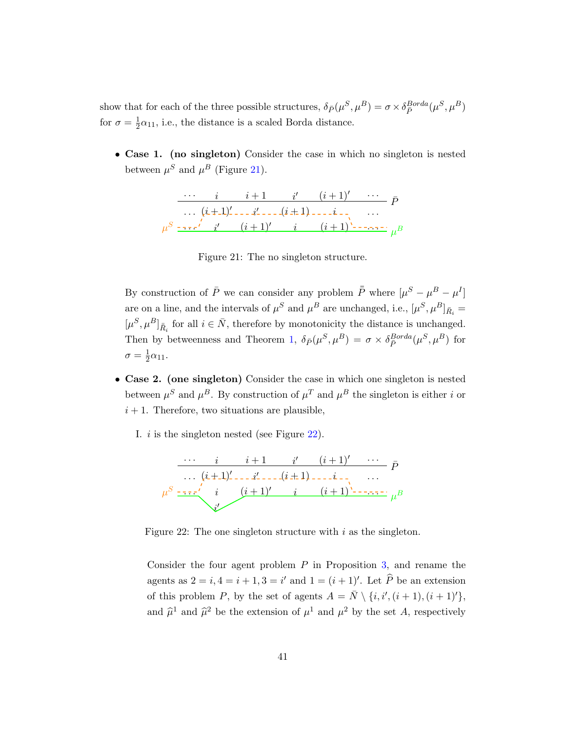show that for each of the three possible structures,  $\delta_{\bar{P}}(\mu^S, \mu^B) = \sigma \times \delta_{\bar{P}}^{Borda}(\mu^S, \mu^B)$ for  $\sigma = \frac{1}{2}$  $\frac{1}{2}\alpha_{11}$ , i.e., the distance is a scaled Borda distance.

<span id="page-40-0"></span>• Case 1. (no singleton) Consider the case in which no singleton is nested between  $\mu^S$  and  $\mu^B$  (Figure [21\)](#page-40-0).

$$
\frac{i}{(i+1)'\cdots} \frac{i+1}{i'} \frac{i'}{(i+1)'\cdots} \bar{P}
$$
  

$$
\mu^S \frac{1}{1+i} \frac{i'}{i'} \frac{(i+1)'\cdots (i+1)'\cdots (i+1)'\cdots (i+1)'\cdots (i+1)'}{i'}
$$

Figure 21: The no singleton structure.

By construction of  $\overline{P}$  we can consider any problem  $\overline{\overline{P}}$  where  $[\mu^S - \mu^B - \mu^I]$ are on a line, and the intervals of  $\mu^S$  and  $\mu^B$  are unchanged, i.e.,  $[\mu^S, \mu^B]_{\bar{R}_i} =$  $[\mu^S, \mu^B]_{\bar{R}_i}$  for all  $i \in \bar{N}$ , therefore by monotonicity the distance is unchanged. Then by betweenness and Theorem [1,](#page-14-1)  $\delta_{\bar{P}}(\mu^S, \mu^B) = \sigma \times \delta_{\bar{P}}^{Borda}(\mu^S, \mu^B)$  for  $\sigma = \frac{1}{2}$  $rac{1}{2}\alpha_{11}.$ 

- Case 2. (one singleton) Consider the case in which one singleton is nested between  $\mu^S$  and  $\mu^B$ . By construction of  $\mu^T$  and  $\mu^B$  the singleton is either i or  $i + 1$ . Therefore, two situations are plausible,
	- I. i is the singleton nested (see Figure [22\)](#page-40-1).

<span id="page-40-1"></span>

Figure 22: The one singleton structure with  $i$  as the singleton.

Consider the four agent problem  $P$  in Proposition [3,](#page-14-2) and rename the agents as  $2 = i, 4 = i + 1, 3 = i'$  and  $1 = (i + 1)'$ . Let  $\widehat{P}$  be an extension of this problem P, by the set of agents  $A = \overline{N} \setminus \{i, i', (i + 1), (i + 1)'\},\$ and  $\hat{\mu}^1$  and  $\hat{\mu}^2$  be the extension of  $\mu^1$  and  $\mu^2$  by the set A, respectively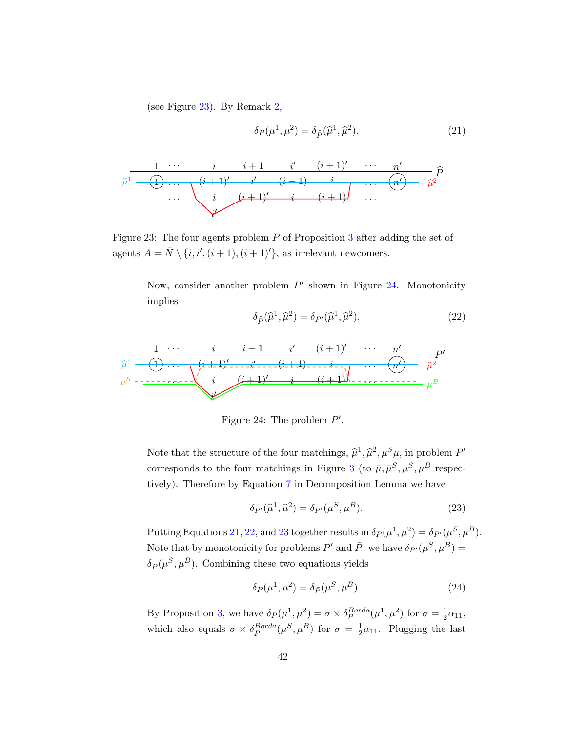(see Figure [23\)](#page-41-0). By Remark [2,](#page-7-1)

<span id="page-41-2"></span>
$$
\delta_P(\mu^1, \mu^2) = \delta_{\widehat{P}}(\widehat{\mu}^1, \widehat{\mu}^2). \tag{21}
$$

<span id="page-41-0"></span>

Figure 23: The four agents problem P of Proposition [3](#page-14-2) after adding the set of agents  $A = \overline{N} \setminus \{i, i', (i + 1), (i + 1)'\}$ , as irrelevant newcomers.

Now, consider another problem  $P'$  shown in Figure [24.](#page-41-1) Monotonicity implies

<span id="page-41-3"></span>
$$
\delta_{\widehat{P}}(\widehat{\mu}^1, \widehat{\mu}^2) = \delta_{P'}(\widehat{\mu}^1, \widehat{\mu}^2). \tag{22}
$$

<span id="page-41-1"></span>
$$
\widehat{\mu}^{1} \xrightarrow{\qquad i \qquad i \qquad i+1 \qquad i' \qquad (i+1)' \qquad \cdots \qquad n' \qquad P'}
$$
\n
$$
\widehat{\mu}^{1} \xrightarrow{\qquad \qquad (i+1)' \qquad \qquad (i+1)' \qquad \qquad (i+1)' \qquad \qquad (i+1) \qquad \qquad (i') \qquad \qquad \widehat{\mu}^{2}}
$$
\n
$$
\mu^{S} \xrightarrow{\qquad \qquad (i+1)' \qquad i \qquad (i+1) \qquad \qquad (i+1) \qquad \qquad (i')
$$

Figure 24: The problem  $P'$ .

Note that the structure of the four matchings,  $\hat{\mu}^1, \hat{\mu}^2, \mu^S \mu$ , in problem P' corresponds to the four matchings in Figure [3](#page-9-1) (to  $\bar{\mu}, \bar{\mu}^S, \mu^S, \mu^B$  respectively). Therefore by Equation [7](#page-19-1) in Decomposition Lemma we have

<span id="page-41-4"></span>
$$
\delta_{P'}(\widehat{\mu}^1, \widehat{\mu}^2) = \delta_{P'}(\mu^S, \mu^B). \tag{23}
$$

Putting Equations [21,](#page-41-2) [22,](#page-41-3) and [23](#page-41-4) together results in  $\delta_P(\mu^1, \mu^2) = \delta_{P'}(\mu^S, \mu^B)$ . Note that by monotonicity for problems  $P'$  and  $\bar{P}$ , we have  $\delta_{P'}(\mu^S, \mu^B)$  =  $\delta_{\bar{P}}(\mu^S, \mu^B)$ . Combining these two equations yields

<span id="page-41-5"></span>
$$
\delta_P(\mu^1, \mu^2) = \delta_{\bar{P}}(\mu^S, \mu^B). \tag{24}
$$

By Proposition [3,](#page-14-2) we have  $\delta_P(\mu^1, \mu^2) = \sigma \times \delta_P^{Borda}(\mu^1, \mu^2)$  for  $\sigma = \frac{1}{2}$  $rac{1}{2}\alpha_{11},$ which also equals  $\sigma \times \delta_{\bar{P}}^{Borda}(\mu^S, \mu^B)$  for  $\sigma = \frac{1}{2}$  $\frac{1}{2}\alpha_{11}$ . Plugging the last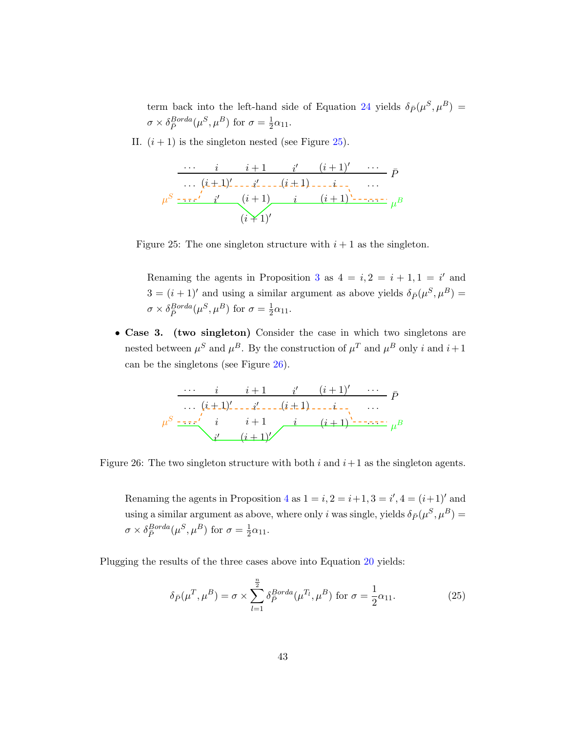term back into the left-hand side of Equation [24](#page-41-5) yields  $\delta_{\bar{P}}(\mu^S, \mu^B)$  =  $\sigma \times \delta_{\bar{P}}^{Borda}(\mu^S, \mu^B)$  for  $\sigma = \frac{1}{2}$  $rac{1}{2}\alpha_{11}.$ 

<span id="page-42-0"></span>II.  $(i + 1)$  is the singleton nested (see Figure [25\)](#page-42-0).

$$
\frac{\cdots i \quad i+1 \quad i' \quad (i+1)'\quad \cdots}{\cdots (i+1)'\cdots i'\cdots i'\cdots (i+1)\cdots i'\cdots i'} \ \overline{P}
$$
\n
$$
\mu^{S} \xrightarrow{--\cdot i'} i' \quad (i+1) \quad i \quad (i+1)'\cdots \cdots \mu^{B}
$$
\n
$$
(i+1)'
$$



Renaming the agents in Proposition [3](#page-14-2) as  $4 = i, 2 = i + 1, 1 = i'$  and  $3 = (i + 1)'$  and using a similar argument as above yields  $\delta_{\bar{P}}(\mu^S, \mu^B) =$  $\sigma \times \delta_{\bar{P}}^{Borda}(\mu^S, \mu^B)$  for  $\sigma = \frac{1}{2}$  $rac{1}{2}\alpha_{11}.$ 

<span id="page-42-1"></span>• Case 3. (two singleton) Consider the case in which two singletons are nested between  $\mu^S$  and  $\mu^B$ . By the construction of  $\mu^T$  and  $\mu^B$  only i and  $i+1$ can be the singletons (see Figure [26\)](#page-42-1).

$$
\begin{array}{c|cccc}\n&\cdots& i & i+1 & i' & (i+1)' & \cdots & \bar{P} \\
&\cdots& (i+1)' & \cdots & i'-1 & \cdots & \bar{P} \\
\mu^S & \cdots & i & i+1 & i & (i+1)' & \cdots & \mu^B \\
& & & i' & (i+1)' & & \cdots & \mu^B\n\end{array}
$$

Figure 26: The two singleton structure with both  $i$  and  $i+1$  as the singleton agents.

Renaming the agents in Proposition [4](#page-15-0) as  $1 = i$ ,  $2 = i+1$ ,  $3 = i'$ ,  $4 = (i+1)'$  and using a similar argument as above, where only *i* was single, yields  $\delta_{\bar{P}}(\mu^S, \mu^B)$  =  $\sigma \times \delta_{\bar{P}}^{Borda}(\mu^S, \mu^B)$  for  $\sigma = \frac{1}{2}$  $rac{1}{2}\alpha_{11}.$ 

Plugging the results of the three cases above into Equation [20](#page-39-1) yields:

<span id="page-42-2"></span>
$$
\delta_{\bar{P}}(\mu^T, \mu^B) = \sigma \times \sum_{l=1}^{\frac{n}{2}} \delta_{\bar{P}}^{Borda}(\mu^{T_l}, \mu^B) \text{ for } \sigma = \frac{1}{2}\alpha_{11}.
$$
 (25)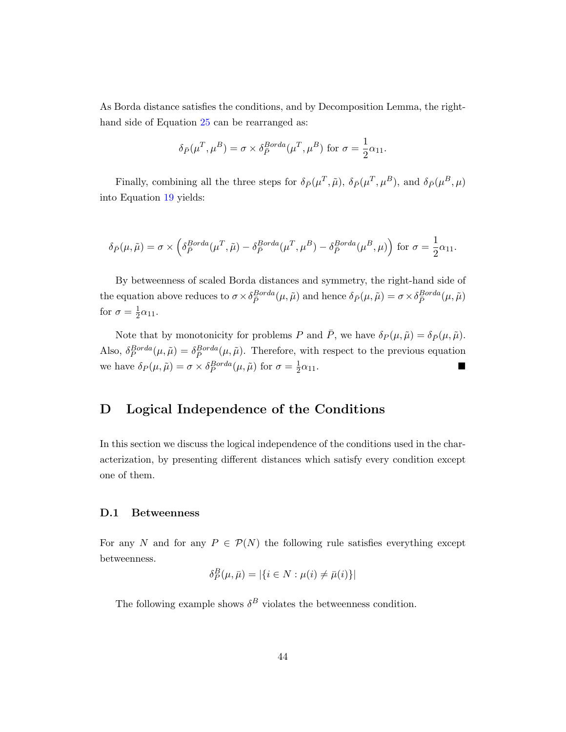As Borda distance satisfies the conditions, and by Decomposition Lemma, the righthand side of Equation [25](#page-42-2) can be rearranged as:

$$
\delta_{\bar{P}}(\mu^T, \mu^B) = \sigma \times \delta_{\bar{P}}^{Borda}(\mu^T, \mu^B) \text{ for } \sigma = \frac{1}{2}\alpha_{11}.
$$

Finally, combining all the three steps for  $\delta_{\bar{P}}(\mu^T, \tilde{\mu}), \delta_{\bar{P}}(\mu^T, \mu^B)$ , and  $\delta_{\bar{P}}(\mu^B, \mu)$ into Equation [19](#page-39-0) yields:

$$
\delta_{\bar{P}}(\mu,\tilde{\mu})=\sigma\times\left(\delta_{\bar{P}}^{Borda}(\mu^T,\tilde{\mu})-\delta_{\bar{P}}^{Borda}(\mu^T,\mu^B)-\delta_{\bar{P}}^{Borda}(\mu^B,\mu)\right)\,\text{for}\,\,\sigma=\frac{1}{2}\alpha_{11}.
$$

By betweenness of scaled Borda distances and symmetry, the right-hand side of the equation above reduces to  $\sigma \times \delta_{\bar{P}}^{Borda}(\mu, \tilde{\mu})$  and hence  $\delta_{\bar{P}}(\mu, \tilde{\mu}) = \sigma \times \delta_{\bar{P}}^{Borda}(\mu, \tilde{\mu})$ for  $\sigma = \frac{1}{2}$  $rac{1}{2}\alpha_{11}.$ 

Note that by monotonicity for problems P and  $\bar{P}$ , we have  $\delta_P(\mu, \tilde{\mu}) = \delta_{\bar{P}}(\mu, \tilde{\mu})$ . Also,  $\delta_P^{Borda}(\mu,\tilde{\mu}) = \delta_P^{Borda}(\mu,\tilde{\mu})$ . Therefore, with respect to the previous equation we have  $\delta_P(\mu, \tilde{\mu}) = \sigma \times \delta_P^{Borda}(\mu, \tilde{\mu})$  for  $\sigma = \frac{1}{2}$  $\frac{1}{2}\alpha_{11}$ .

# <span id="page-43-0"></span>D Logical Independence of the Conditions

In this section we discuss the logical independence of the conditions used in the characterization, by presenting different distances which satisfy every condition except one of them.

#### D.1 Betweenness

For any N and for any  $P \in \mathcal{P}(N)$  the following rule satisfies everything except betweenness.

$$
\delta_P^B(\mu,\bar{\mu}) = |\{i \in N : \mu(i) \neq \bar{\mu}(i)\}|
$$

The following example shows  $\delta^B$  violates the betweenness condition.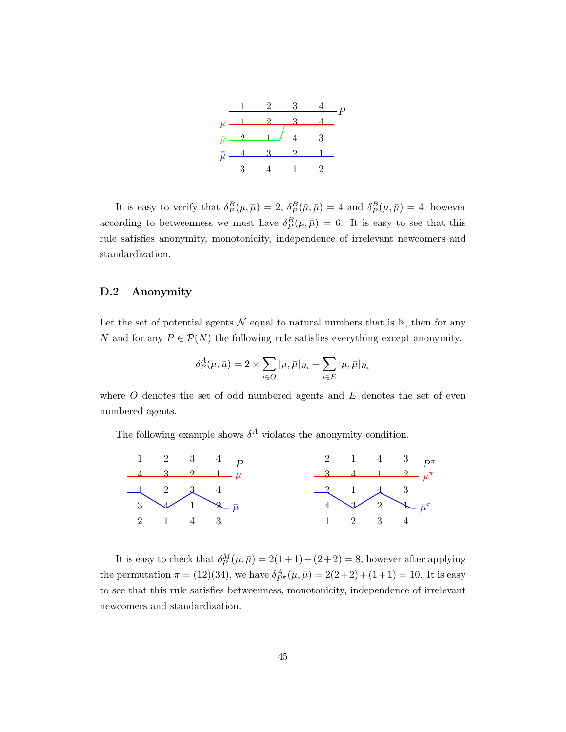

It is easy to verify that  $\delta_P^B(\mu,\bar{\mu}) = 2$ ,  $\delta_P^B(\bar{\mu},\bar{\bar{\mu}}) = 4$  and  $\delta_P^B(\mu,\bar{\bar{\mu}}) = 4$ , however according to betweenness we must have  $\delta_P^B(\mu, \bar{\bar{\mu}}) = 6$ . It is easy to see that this rule satisfies anonymity, monotonicity, independence of irrelevant newcomers and standardization.

## D.2 Anonymity

Let the set of potential agents  $\mathcal N$  equal to natural numbers that is N, then for any N and for any  $P \in \mathcal{P}(N)$  the following rule satisfies everything except anonymity.

$$
\delta_P^A(\mu,\bar\mu) = 2\times\sum_{i\in O}|\mu,\bar\mu|_{R_i} + \sum_{i\in E}|\mu,\bar\mu|_{R_i}
$$

where  $O$  denotes the set of odd numbered agents and  $E$  denotes the set of even numbered agents.

The following example shows  $\delta^A$  violates the anonymity condition.



It is easy to check that  $\delta_P^M(\mu, \bar{\mu}) = 2(1+1) + (2+2) = 8$ , however after applying the permutation  $\pi = (12)(34)$ , we have  $\delta_{P^{\pi}}^A(\mu, \bar{\mu}) = 2(2+2) + (1+1) = 10$ . It is easy to see that this rule satisfies betweenness, monotonicity, independence of irrelevant newcomers and standardization.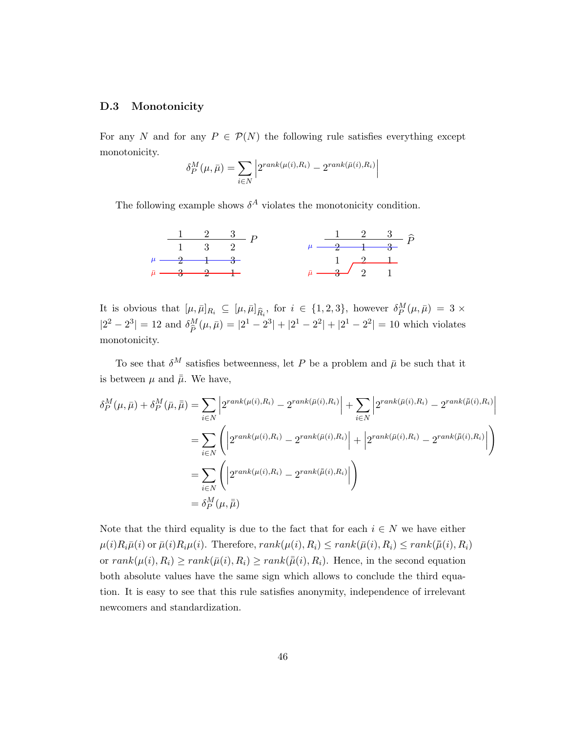#### D.3 Monotonicity

For any N and for any  $P \in \mathcal{P}(N)$  the following rule satisfies everything except monotonicity.

$$
\delta_P^M(\mu, \bar{\mu}) = \sum_{i \in N} \left| 2^{rank(\mu(i), R_i)} - 2^{rank(\bar{\mu}(i), R_i)} \right|
$$

The following example shows  $\delta^A$  violates the monotonicity condition.



It is obvious that  $[\mu, \bar{\mu}]_{R_i} \subseteq [\mu, \bar{\mu}]_{\hat{R}_i}$ , for  $i \in \{1, 2, 3\}$ , however  $\delta_P^M(\mu, \bar{\mu}) = 3 \times$  $|2^2 - 2^3| = 12$  and  $\delta^M_{\hat{p}}$  $\frac{M}{\hat{P}}(\mu,\bar{\mu}) = |2^1 - 2^3| + |2^1 - 2^2| + |2^1 - 2^2| = 10$  which violates monotonicity.

To see that  $\delta^M$  satisfies betweenness, let P be a problem and  $\bar{\mu}$  be such that it is between  $\mu$  and  $\bar{\bar{\mu}}$ . We have,

$$
\delta_P^M(\mu, \bar{\mu}) + \delta_P^M(\bar{\mu}, \bar{\bar{\mu}}) = \sum_{i \in N} \left| 2^{rank(\mu(i), R_i)} - 2^{rank(\bar{\mu}(i), R_i)} \right| + \sum_{i \in N} \left| 2^{rank(\bar{\mu}(i), R_i)} - 2^{rank(\bar{\mu}(i), R_i)} \right|
$$
  

$$
= \sum_{i \in N} \left( \left| 2^{rank(\mu(i), R_i)} - 2^{rank(\bar{\mu}(i), R_i)} \right| + \left| 2^{rank(\bar{\mu}(i), R_i)} - 2^{rank(\bar{\mu}(i), R_i)} \right| \right)
$$
  

$$
= \sum_{i \in N} \left( \left| 2^{rank(\mu(i), R_i)} - 2^{rank(\bar{\mu}(i), R_i)} \right| \right)
$$
  

$$
= \delta_P^M(\mu, \bar{\mu})
$$

Note that the third equality is due to the fact that for each  $i \in N$  we have either  $\mu(i)R_i\bar{\mu}(i)$  or  $\bar{\mu}(i)R_i\mu(i)$ . Therefore,  $rank(\mu(i), R_i) \leq rank(\bar{\mu}(i), R_i) \leq rank(\bar{\mu}(i), R_i)$ or  $rank(\mu(i), R_i) \ge rank(\bar{\mu}(i), R_i) \ge rank(\bar{\mu}(i), R_i)$ . Hence, in the second equation both absolute values have the same sign which allows to conclude the third equation. It is easy to see that this rule satisfies anonymity, independence of irrelevant newcomers and standardization.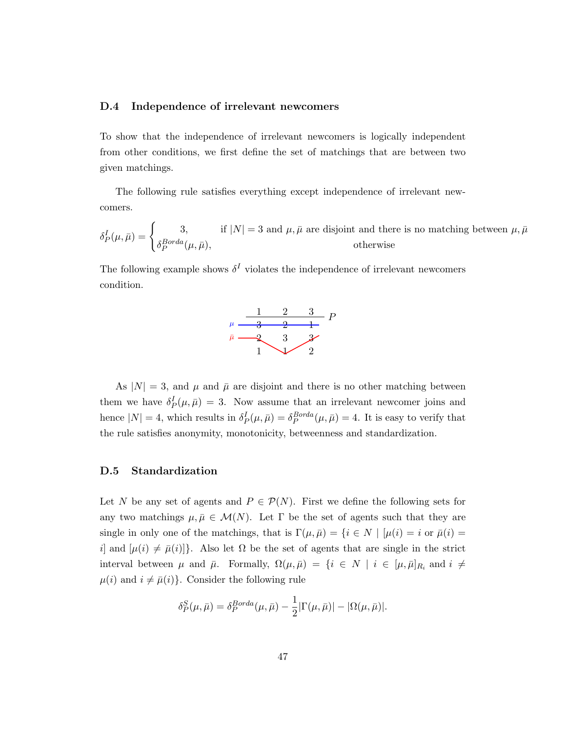#### D.4 Independence of irrelevant newcomers

To show that the independence of irrelevant newcomers is logically independent from other conditions, we first define the set of matchings that are between two given matchings.

The following rule satisfies everything except independence of irrelevant newcomers.

 $\delta_P^I(\mu,\bar{\mu}) = \begin{cases} 3, & \text{if } |N| = 3 \text{ and } \mu, \bar{\mu} \text{ are disjoint and there is no matching between } \mu, \bar{\mu} \end{cases}$  $\delta_P^{Borda}(\mu,\bar{\mu}),$  otherwise

The following example shows  $\delta^I$  violates the independence of irrelevant newcomers condition.



As  $|N| = 3$ , and  $\mu$  and  $\bar{\mu}$  are disjoint and there is no other matching between them we have  $\delta_P^I(\mu,\bar{\mu}) = 3$ . Now assume that an irrelevant newcomer joins and hence  $|N| = 4$ , which results in  $\delta_P^I(\mu, \bar{\mu}) = \delta_P^{Borda}(\mu, \bar{\mu}) = 4$ . It is easy to verify that the rule satisfies anonymity, monotonicity, betweenness and standardization.

## D.5 Standardization

Let N be any set of agents and  $P \in \mathcal{P}(N)$ . First we define the following sets for any two matchings  $\mu, \bar{\mu} \in \mathcal{M}(N)$ . Let  $\Gamma$  be the set of agents such that they are single in only one of the matchings, that is  $\Gamma(\mu,\bar{\mu}) = \{i \in N \mid [\mu(i) = i \text{ or } \bar{\mu}(i) = j\}]$ i] and  $[\mu(i) \neq \bar{\mu}(i)]$ . Also let  $\Omega$  be the set of agents that are single in the strict interval between  $\mu$  and  $\bar{\mu}$ . Formally,  $\Omega(\mu, \bar{\mu}) = \{i \in N \mid i \in [\mu, \bar{\mu}]_{R_i} \text{ and } i \neq j\}$  $\mu(i)$  and  $i \neq \bar{\mu}(i)$ . Consider the following rule

$$
\delta_P^S(\mu,\bar{\mu}) = \delta_P^{Borda}(\mu,\bar{\mu}) - \frac{1}{2}|\Gamma(\mu,\bar{\mu})| - |\Omega(\mu,\bar{\mu})|.
$$